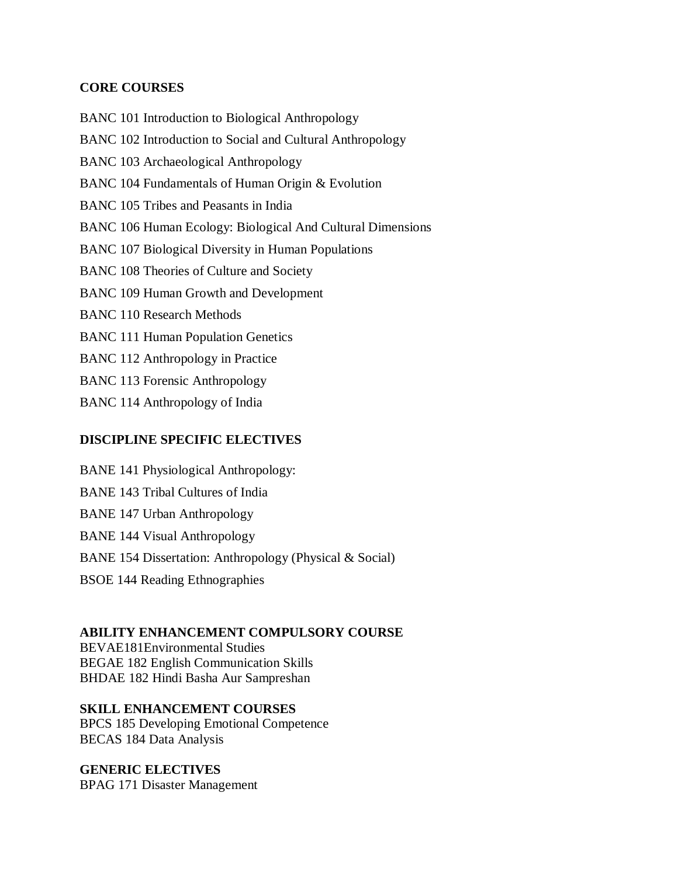# **CORE COURSES**

BANC 101 Introduction to Biological Anthropology BANC 102 Introduction to Social and Cultural Anthropology BANC 103 Archaeological Anthropology BANC 104 Fundamentals of Human Origin & Evolution BANC 105 Tribes and Peasants in India BANC 106 Human Ecology: Biological And Cultural Dimensions BANC 107 Biological Diversity in Human Populations BANC 108 Theories of Culture and Society BANC 109 Human Growth and Development BANC 110 Research Methods BANC 111 Human Population Genetics BANC 112 Anthropology in Practice BANC 113 Forensic Anthropology BANC 114 Anthropology of India

# **DISCIPLINE SPECIFIC ELECTIVES**

BANE 141 Physiological Anthropology: BANE 143 Tribal Cultures of India BANE 147 Urban Anthropology BANE 144 Visual Anthropology BANE 154 Dissertation: Anthropology (Physical & Social) BSOE 144 Reading Ethnographies

# **ABILITY ENHANCEMENT COMPULSORY COURSE**

BEVAE181Environmental Studies BEGAE 182 English Communication Skills BHDAE 182 Hindi Basha Aur Sampreshan

## **SKILL ENHANCEMENT COURSES**

BPCS 185 Developing Emotional Competence BECAS 184 Data Analysis

# **GENERIC ELECTIVES**

BPAG 171 Disaster Management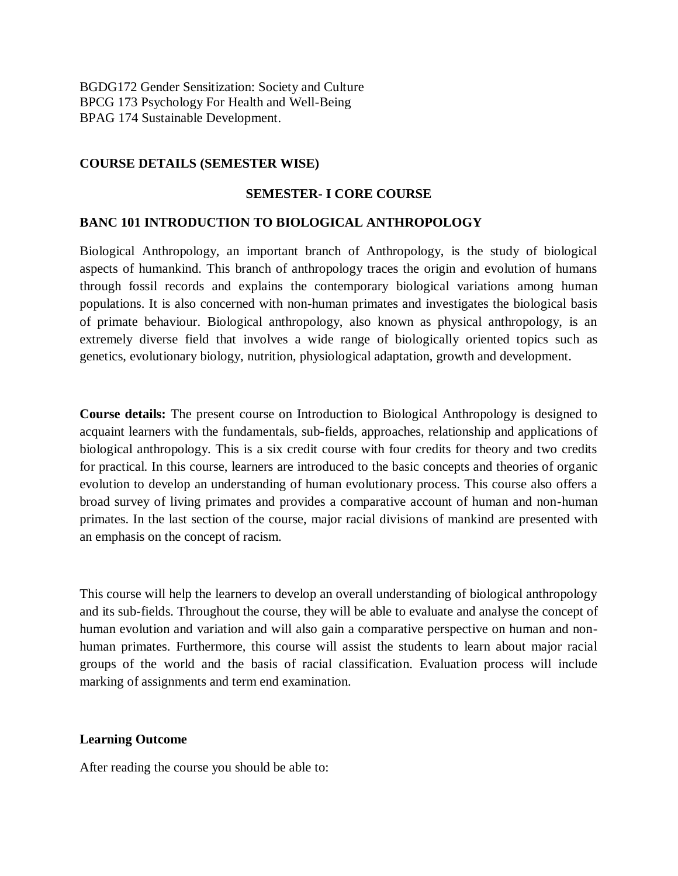BGDG172 Gender Sensitization: Society and Culture BPCG 173 Psychology For Health and Well-Being BPAG 174 Sustainable Development.

## **COURSE DETAILS (SEMESTER WISE)**

## **SEMESTER- I CORE COURSE**

## **BANC 101 INTRODUCTION TO BIOLOGICAL ANTHROPOLOGY**

Biological Anthropology, an important branch of Anthropology, is the study of biological aspects of humankind. This branch of anthropology traces the origin and evolution of humans through fossil records and explains the contemporary biological variations among human populations. It is also concerned with non-human primates and investigates the biological basis of primate behaviour. Biological anthropology, also known as physical anthropology, is an extremely diverse field that involves a wide range of biologically oriented topics such as genetics, evolutionary biology, nutrition, physiological adaptation, growth and development.

**Course details:** The present course on Introduction to Biological Anthropology is designed to acquaint learners with the fundamentals, sub-fields, approaches, relationship and applications of biological anthropology. This is a six credit course with four credits for theory and two credits for practical. In this course, learners are introduced to the basic concepts and theories of organic evolution to develop an understanding of human evolutionary process. This course also offers a broad survey of living primates and provides a comparative account of human and non-human primates. In the last section of the course, major racial divisions of mankind are presented with an emphasis on the concept of racism.

This course will help the learners to develop an overall understanding of biological anthropology and its sub-fields. Throughout the course, they will be able to evaluate and analyse the concept of human evolution and variation and will also gain a comparative perspective on human and nonhuman primates. Furthermore, this course will assist the students to learn about major racial groups of the world and the basis of racial classification. Evaluation process will include marking of assignments and term end examination.

## **Learning Outcome**

After reading the course you should be able to: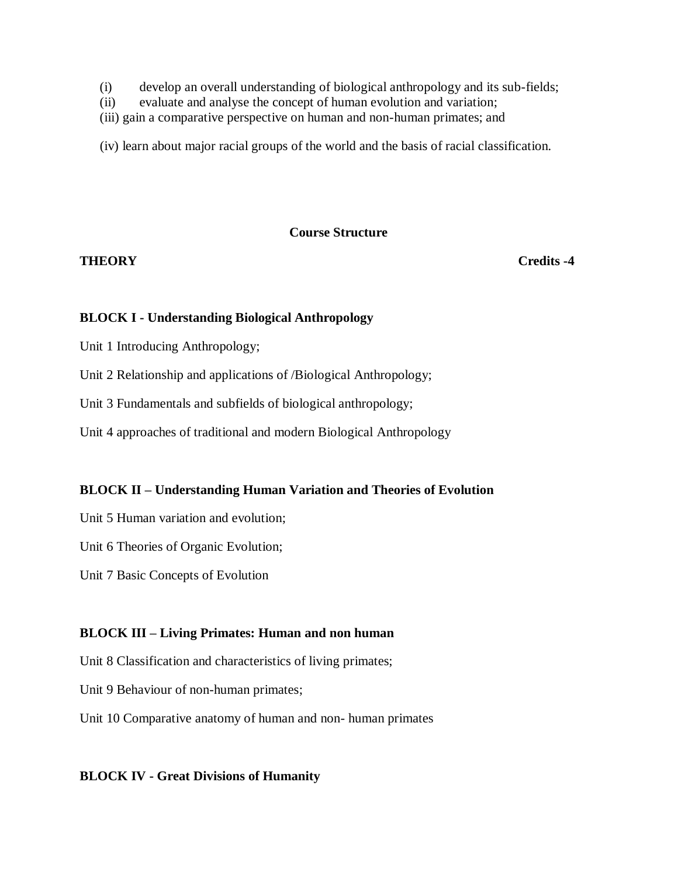- (i) develop an overall understanding of biological anthropology and its sub-fields;
- (ii) evaluate and analyse the concept of human evolution and variation;
- (iii) gain a comparative perspective on human and non-human primates; and

(iv) learn about major racial groups of the world and the basis of racial classification.

## **Course Structure**

**THEORY Credits -4** 

## **BLOCK I - Understanding Biological Anthropology**

Unit 1 Introducing Anthropology;

Unit 2 Relationship and applications of /Biological Anthropology;

Unit 3 Fundamentals and subfields of biological anthropology;

Unit 4 approaches of traditional and modern Biological Anthropology

# **BLOCK II – Understanding Human Variation and Theories of Evolution**

Unit 5 Human variation and evolution;

Unit 6 Theories of Organic Evolution;

Unit 7 Basic Concepts of Evolution

# **BLOCK III – Living Primates: Human and non human**

Unit 8 Classification and characteristics of living primates;

Unit 9 Behaviour of non-human primates;

Unit 10 Comparative anatomy of human and non- human primates

## **BLOCK IV - Great Divisions of Humanity**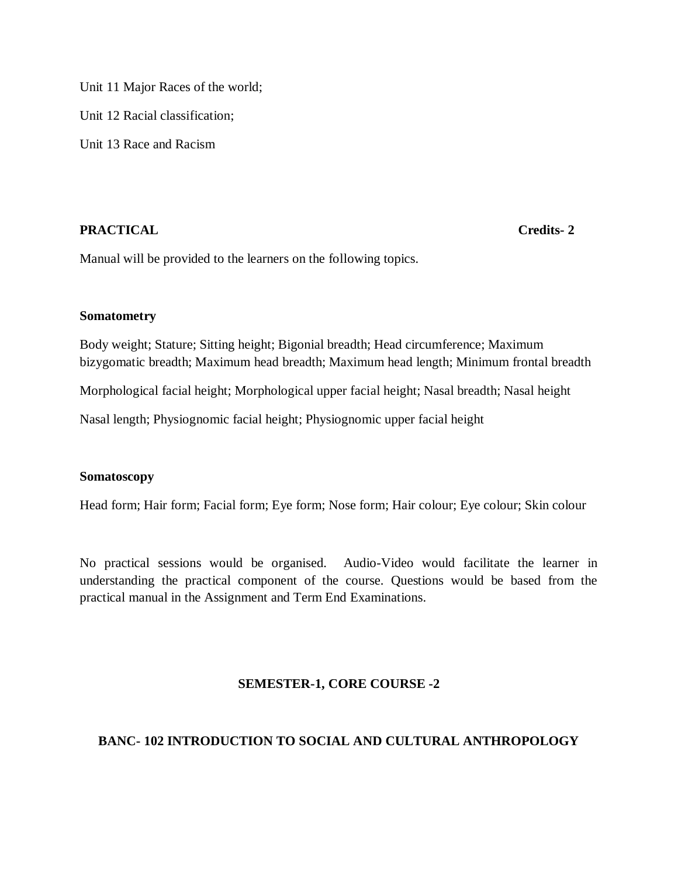Unit 11 Major Races of the world; Unit 12 Racial classification; Unit 13 Race and Racism

# **PRACTICAL** Credits-2

Manual will be provided to the learners on the following topics.

## **Somatometry**

Body weight; Stature; Sitting height; Bigonial breadth; Head circumference; Maximum bizygomatic breadth; Maximum head breadth; Maximum head length; Minimum frontal breadth

Morphological facial height; Morphological upper facial height; Nasal breadth; Nasal height

Nasal length; Physiognomic facial height; Physiognomic upper facial height

## **Somatoscopy**

Head form; Hair form; Facial form; Eye form; Nose form; Hair colour; Eye colour; Skin colour

No practical sessions would be organised. Audio-Video would facilitate the learner in understanding the practical component of the course. Questions would be based from the practical manual in the Assignment and Term End Examinations.

# **SEMESTER-1, CORE COURSE -2**

# **BANC- 102 INTRODUCTION TO SOCIAL AND CULTURAL ANTHROPOLOGY**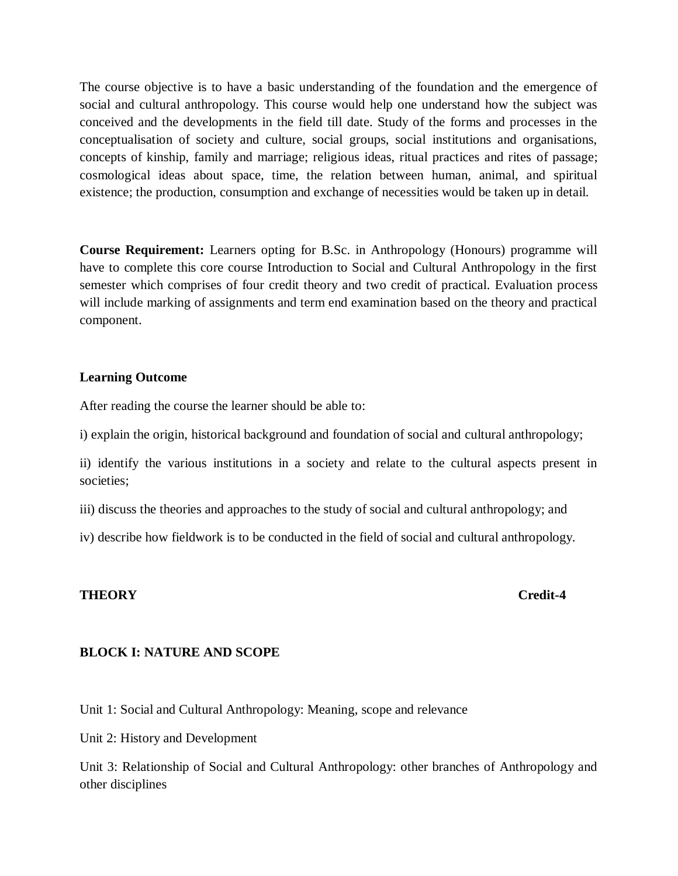The course objective is to have a basic understanding of the foundation and the emergence of social and cultural anthropology. This course would help one understand how the subject was conceived and the developments in the field till date. Study of the forms and processes in the conceptualisation of society and culture, social groups, social institutions and organisations, concepts of kinship, family and marriage; religious ideas, ritual practices and rites of passage; cosmological ideas about space, time, the relation between human, animal, and spiritual existence; the production, consumption and exchange of necessities would be taken up in detail.

**Course Requirement:** Learners opting for B.Sc. in Anthropology (Honours) programme will have to complete this core course Introduction to Social and Cultural Anthropology in the first semester which comprises of four credit theory and two credit of practical. Evaluation process will include marking of assignments and term end examination based on the theory and practical component.

## **Learning Outcome**

After reading the course the learner should be able to:

i) explain the origin, historical background and foundation of social and cultural anthropology;

ii) identify the various institutions in a society and relate to the cultural aspects present in societies;

iii) discuss the theories and approaches to the study of social and cultural anthropology; and

iv) describe how fieldwork is to be conducted in the field of social and cultural anthropology.

## **THEORY Credit-4**

## **BLOCK I: NATURE AND SCOPE**

Unit 1: Social and Cultural Anthropology: Meaning, scope and relevance

Unit 2: History and Development

Unit 3: Relationship of Social and Cultural Anthropology: other branches of Anthropology and other disciplines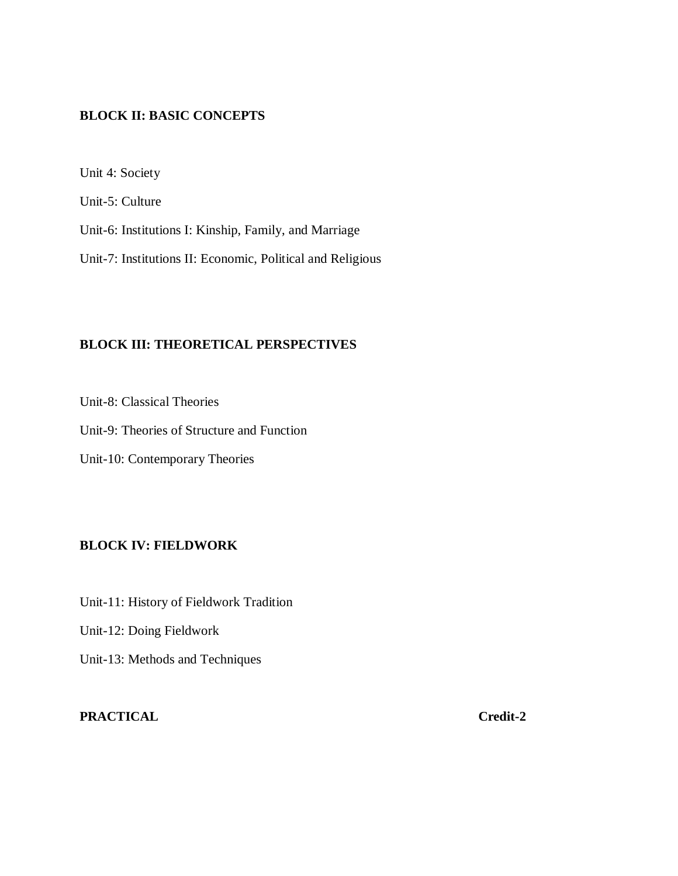# **BLOCK II: BASIC CONCEPTS**

Unit 4: Society

Unit-5: Culture

Unit-6: Institutions I: Kinship, Family, and Marriage

Unit-7: Institutions II: Economic, Political and Religious

## **BLOCK III: THEORETICAL PERSPECTIVES**

Unit-8: Classical Theories

Unit-9: Theories of Structure and Function

Unit-10: Contemporary Theories

# **BLOCK IV: FIELDWORK**

Unit-11: History of Fieldwork Tradition Unit-12: Doing Fieldwork Unit-13: Methods and Techniques

# **PRACTICAL Credit-2**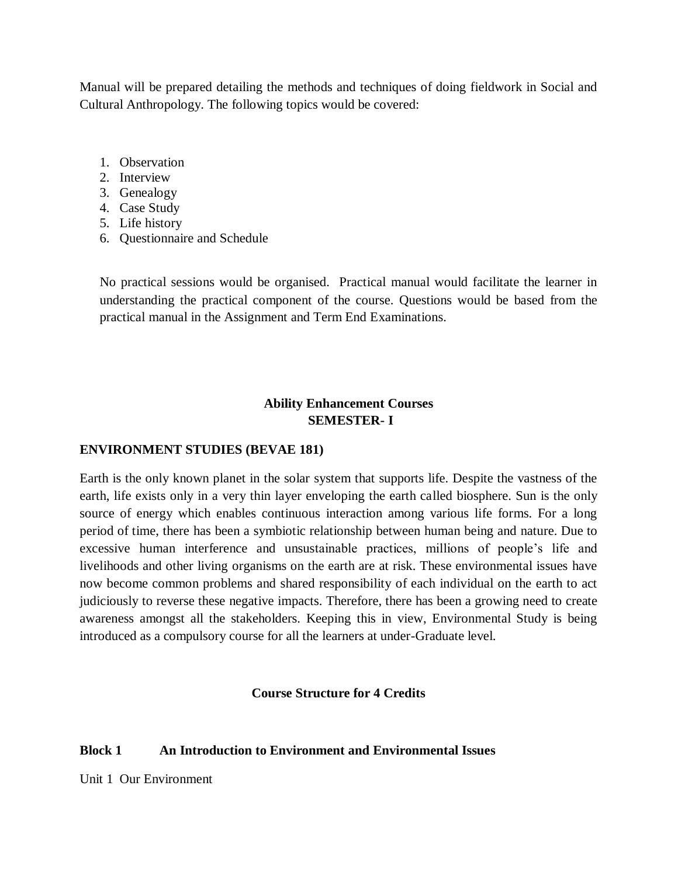Manual will be prepared detailing the methods and techniques of doing fieldwork in Social and Cultural Anthropology. The following topics would be covered:

- 1. Observation
- 2. Interview
- 3. Genealogy
- 4. Case Study
- 5. Life history
- 6. Questionnaire and Schedule

No practical sessions would be organised. Practical manual would facilitate the learner in understanding the practical component of the course. Questions would be based from the practical manual in the Assignment and Term End Examinations.

# **Ability Enhancement Courses SEMESTER- I**

# **ENVIRONMENT STUDIES (BEVAE 181)**

Earth is the only known planet in the solar system that supports life. Despite the vastness of the earth, life exists only in a very thin layer enveloping the earth called biosphere. Sun is the only source of energy which enables continuous interaction among various life forms. For a long period of time, there has been a symbiotic relationship between human being and nature. Due to excessive human interference and unsustainable practices, millions of people's life and livelihoods and other living organisms on the earth are at risk. These environmental issues have now become common problems and shared responsibility of each individual on the earth to act judiciously to reverse these negative impacts. Therefore, there has been a growing need to create awareness amongst all the stakeholders. Keeping this in view, Environmental Study is being introduced as a compulsory course for all the learners at under-Graduate level.

## **Course Structure for 4 Credits**

# **Block 1 An Introduction to Environment and Environmental Issues**

Unit 1 Our Environment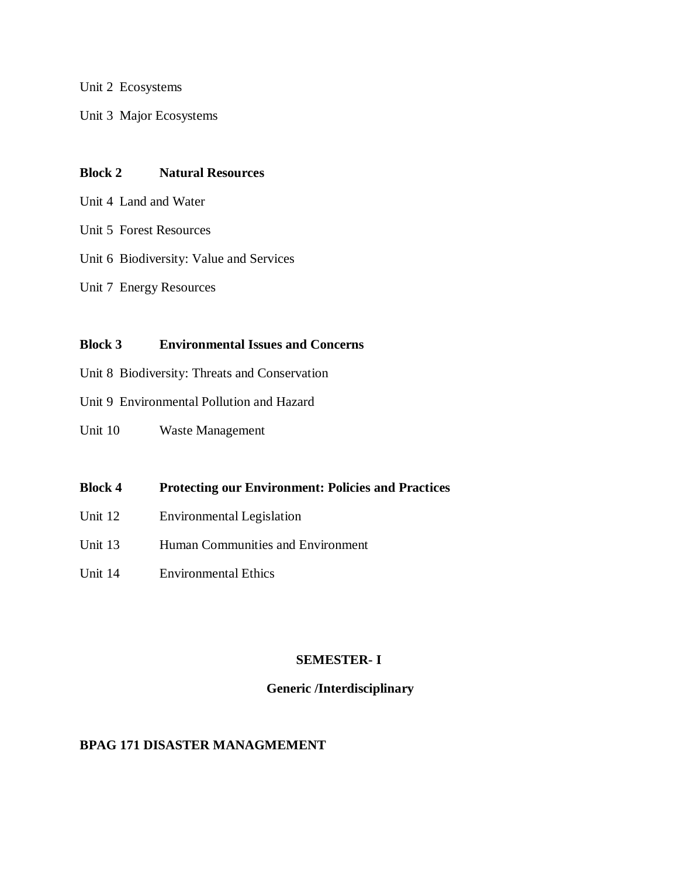Unit 2 Ecosystems

Unit 3 Major Ecosystems

# **Block 2 Natural Resources**

- Unit 4 Land and Water
- Unit 5 Forest Resources
- Unit 6 Biodiversity: Value and Services
- Unit 7 Energy Resources

## **Block 3 Environmental Issues and Concerns**

- Unit 8 Biodiversity: Threats and Conservation
- Unit 9 Environmental Pollution and Hazard
- Unit 10 Waste Management
- **Block 4 Protecting our Environment: Policies and Practices**
- Unit 12 Environmental Legislation
- Unit 13 Human Communities and Environment
- Unit 14 Environmental Ethics

# **SEMESTER- I**

# **Generic /Interdisciplinary**

# **BPAG 171 DISASTER MANAGMEMENT**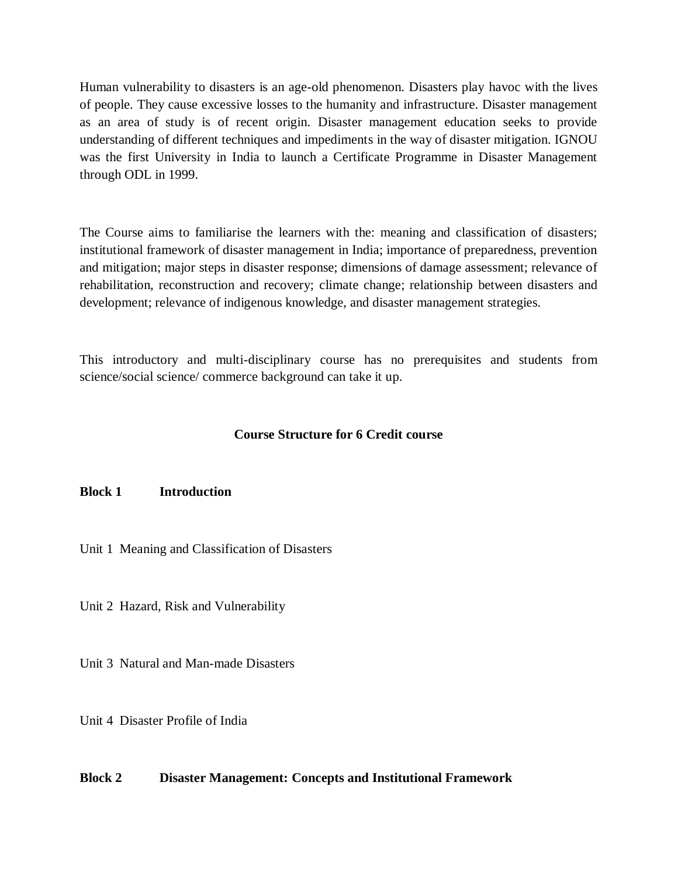Human vulnerability to disasters is an age-old phenomenon. Disasters play havoc with the lives of people. They cause excessive losses to the humanity and infrastructure. Disaster management as an area of study is of recent origin. Disaster management education seeks to provide understanding of different techniques and impediments in the way of disaster mitigation. IGNOU was the first University in India to launch a Certificate Programme in Disaster Management through ODL in 1999.

The Course aims to familiarise the learners with the: meaning and classification of disasters; institutional framework of disaster management in India; importance of preparedness, prevention and mitigation; major steps in disaster response; dimensions of damage assessment; relevance of rehabilitation, reconstruction and recovery; climate change; relationship between disasters and development; relevance of indigenous knowledge, and disaster management strategies.

This introductory and multi-disciplinary course has no prerequisites and students from science/social science/ commerce background can take it up.

# **Course Structure for 6 Credit course**

## **Block 1 Introduction**

Unit 1 Meaning and Classification of Disasters

Unit 2 Hazard, Risk and Vulnerability

Unit 3 Natural and Man-made Disasters

Unit 4 Disaster Profile of India

## **Block 2 Disaster Management: Concepts and Institutional Framework**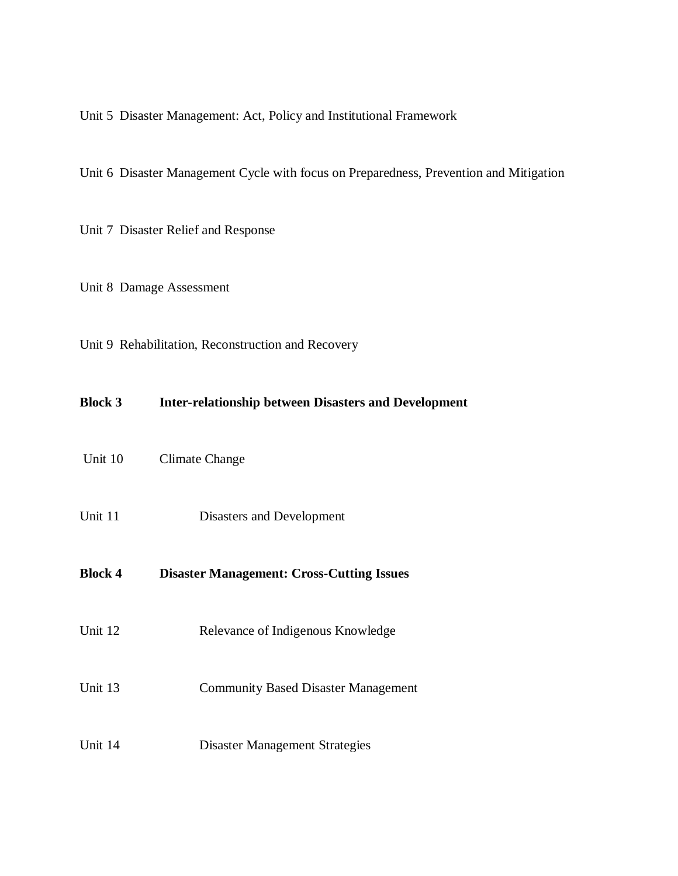Unit 5 Disaster Management: Act, Policy and Institutional Framework

Unit 6 Disaster Management Cycle with focus on Preparedness, Prevention and Mitigation

Unit 7 Disaster Relief and Response

Unit 8 Damage Assessment

Unit 9 Rehabilitation, Reconstruction and Recovery

| <b>Block 3</b> | <b>Inter-relationship between Disasters and Development</b> |
|----------------|-------------------------------------------------------------|
| Unit 10        | Climate Change                                              |
| Unit 11        | Disasters and Development                                   |
| <b>Block 4</b> | <b>Disaster Management: Cross-Cutting Issues</b>            |
| Unit 12        | Relevance of Indigenous Knowledge                           |
| Unit 13        | <b>Community Based Disaster Management</b>                  |
| Unit 14        | <b>Disaster Management Strategies</b>                       |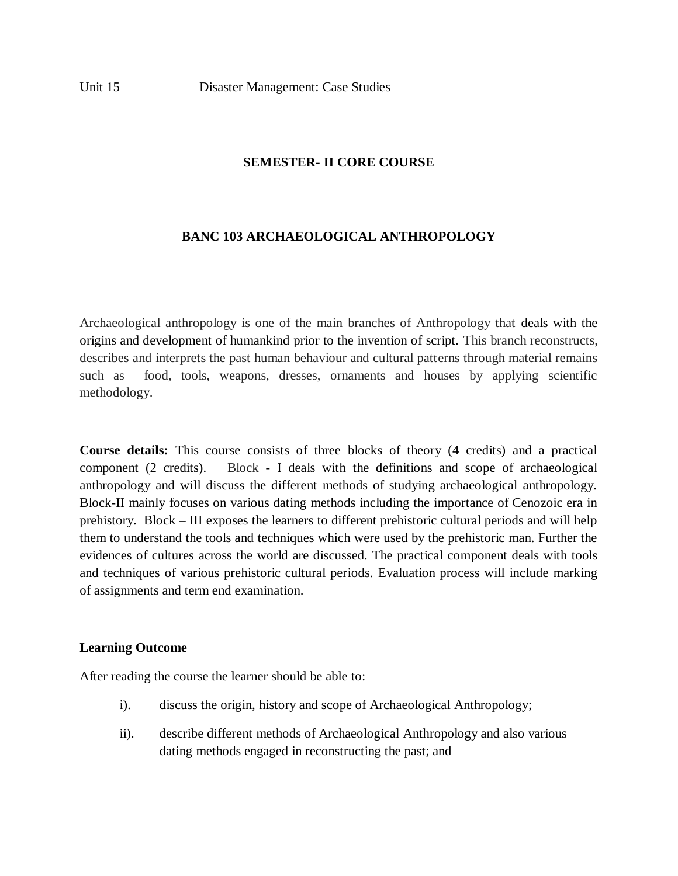# **SEMESTER- II CORE COURSE**

# **BANC 103 ARCHAEOLOGICAL ANTHROPOLOGY**

Archaeological anthropology is one of the main branches of Anthropology that deals with the origins and development of humankind prior to the invention of script. This branch reconstructs, describes and interprets the past human behaviour and cultural patterns through material remains such as food, tools, weapons, dresses, ornaments and houses by applying scientific methodology.

**Course details:** This course consists of three blocks of theory (4 credits) and a practical component (2 credits). Block - I deals with the definitions and scope of archaeological anthropology and will discuss the different methods of studying archaeological anthropology. Block-II mainly focuses on various dating methods including the importance of Cenozoic era in prehistory. Block – III exposes the learners to different prehistoric cultural periods and will help them to understand the tools and techniques which were used by the prehistoric man. Further the evidences of cultures across the world are discussed. The practical component deals with tools and techniques of various prehistoric cultural periods. Evaluation process will include marking of assignments and term end examination.

## **Learning Outcome**

After reading the course the learner should be able to:

- i). discuss the origin, history and scope of Archaeological Anthropology;
- ii). describe different methods of Archaeological Anthropology and also various dating methods engaged in reconstructing the past; and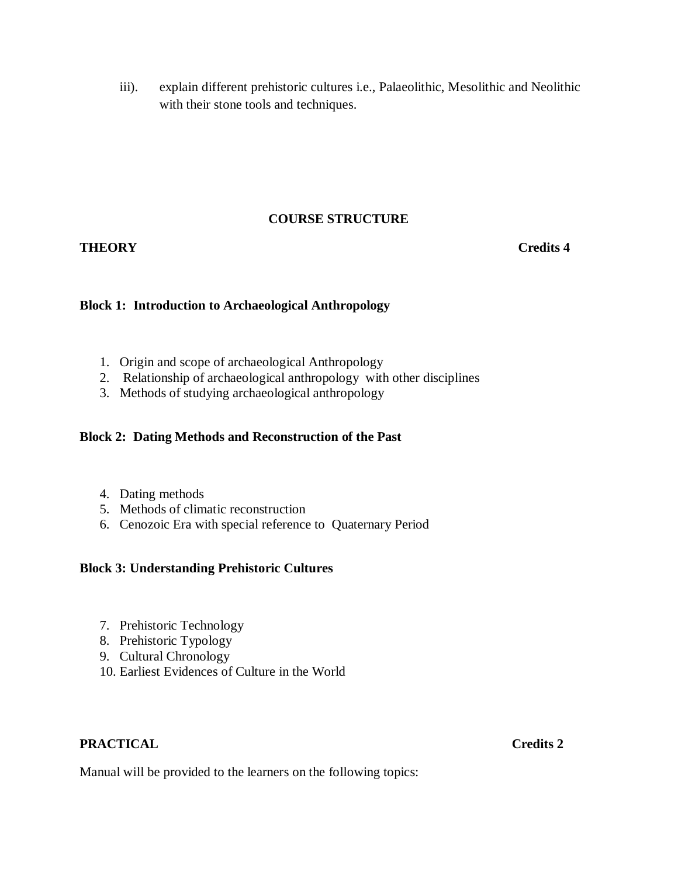iii). explain different prehistoric cultures i.e., Palaeolithic, Mesolithic and Neolithic with their stone tools and techniques.

# **COURSE STRUCTURE**

# **THEORY** Credits 4

# **Block 1: Introduction to Archaeological Anthropology**

- 1. Origin and scope of archaeological Anthropology
- 2. Relationship of archaeological anthropology with other disciplines
- 3. Methods of studying archaeological anthropology

# **Block 2: Dating Methods and Reconstruction of the Past**

- 4. Dating methods
- 5. Methods of climatic reconstruction
- 6. Cenozoic Era with special reference to Quaternary Period

## **Block 3: Understanding Prehistoric Cultures**

- 7. Prehistoric Technology
- 8. Prehistoric Typology
- 9. Cultural Chronology
- 10. Earliest Evidences of Culture in the World

# **PRACTICAL Credits 2**

Manual will be provided to the learners on the following topics: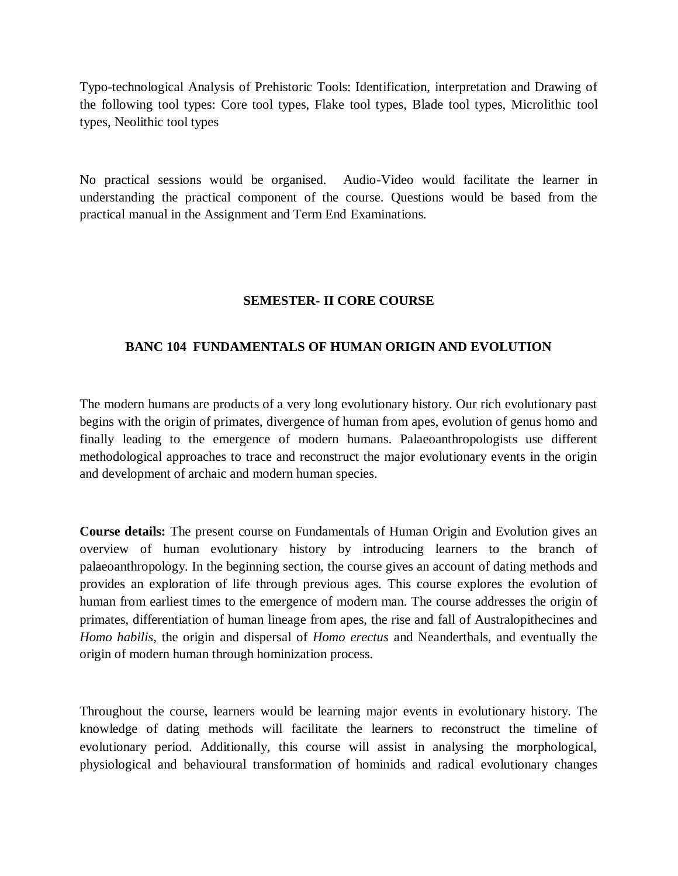Typo-technological Analysis of Prehistoric Tools: Identification, interpretation and Drawing of the following tool types: Core tool types, Flake tool types, Blade tool types, Microlithic tool types, Neolithic tool types

No practical sessions would be organised. Audio-Video would facilitate the learner in understanding the practical component of the course. Questions would be based from the practical manual in the Assignment and Term End Examinations.

# **SEMESTER- II CORE COURSE**

# **BANC 104 FUNDAMENTALS OF HUMAN ORIGIN AND EVOLUTION**

The modern humans are products of a very long evolutionary history. Our rich evolutionary past begins with the origin of primates, divergence of human from apes, evolution of genus homo and finally leading to the emergence of modern humans. Palaeoanthropologists use different methodological approaches to trace and reconstruct the major evolutionary events in the origin and development of archaic and modern human species.

**Course details:** The present course on Fundamentals of Human Origin and Evolution gives an overview of human evolutionary history by introducing learners to the branch of palaeoanthropology. In the beginning section, the course gives an account of dating methods and provides an exploration of life through previous ages. This course explores the evolution of human from earliest times to the emergence of modern man. The course addresses the origin of primates, differentiation of human lineage from apes, the rise and fall of Australopithecines and *Homo habilis*, the origin and dispersal of *Homo erectus* and Neanderthals, and eventually the origin of modern human through hominization process.

Throughout the course, learners would be learning major events in evolutionary history. The knowledge of dating methods will facilitate the learners to reconstruct the timeline of evolutionary period. Additionally, this course will assist in analysing the morphological, physiological and behavioural transformation of hominids and radical evolutionary changes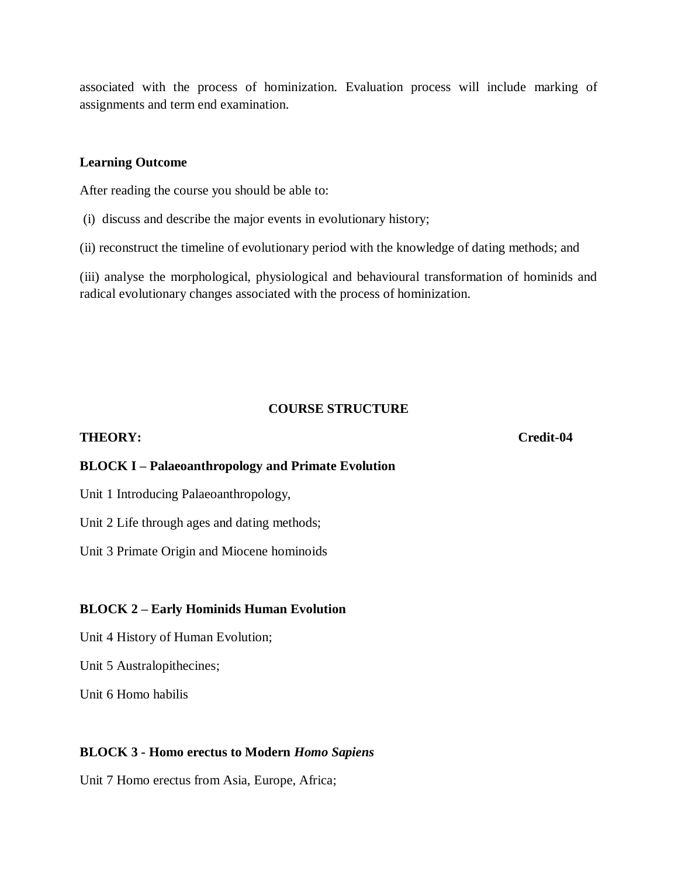associated with the process of hominization. Evaluation process will include marking of assignments and term end examination.

## **Learning Outcome**

After reading the course you should be able to:

(i) discuss and describe the major events in evolutionary history;

(ii) reconstruct the timeline of evolutionary period with the knowledge of dating methods; and

(iii) analyse the morphological, physiological and behavioural transformation of hominids and radical evolutionary changes associated with the process of hominization.

## **COURSE STRUCTURE**

## **THEORY: Credit-04**

## **BLOCK I – Palaeoanthropology and Primate Evolution**

Unit 1 Introducing Palaeoanthropology,

Unit 2 Life through ages and dating methods;

Unit 3 Primate Origin and Miocene hominoids

## **BLOCK 2 – Early Hominids Human Evolution**

Unit 4 History of Human Evolution;

Unit 5 Australopithecines;

Unit 6 Homo habilis

## **BLOCK 3 - Homo erectus to Modern** *Homo Sapiens*

Unit 7 Homo erectus from Asia, Europe, Africa;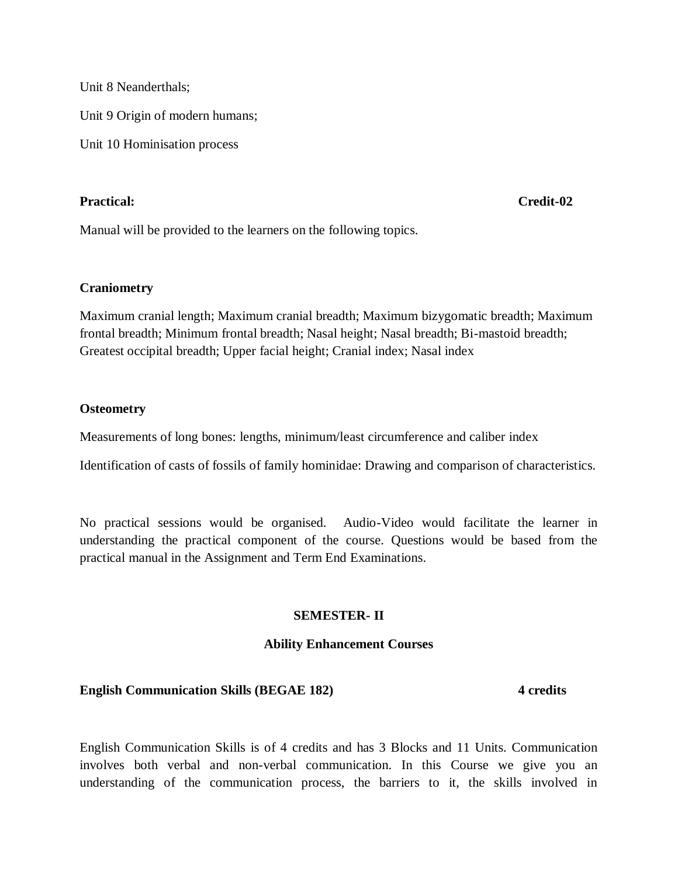Unit 8 Neanderthals;

Unit 9 Origin of modern humans;

Unit 10 Hominisation process

## **Practical: Credit-02**

Manual will be provided to the learners on the following topics.

## **Craniometry**

Maximum cranial length; Maximum cranial breadth; Maximum bizygomatic breadth; Maximum frontal breadth; Minimum frontal breadth; Nasal height; Nasal breadth; Bi-mastoid breadth; Greatest occipital breadth; Upper facial height; Cranial index; Nasal index

## **Osteometry**

Measurements of long bones: lengths, minimum/least circumference and caliber index

Identification of casts of fossils of family hominidae: Drawing and comparison of characteristics.

No practical sessions would be organised. Audio-Video would facilitate the learner in understanding the practical component of the course. Questions would be based from the practical manual in the Assignment and Term End Examinations.

## **SEMESTER- II**

## **Ability Enhancement Courses**

## **English Communication Skills (BEGAE 182) 4 credits**

English Communication Skills is of 4 credits and has 3 Blocks and 11 Units. Communication involves both verbal and non-verbal communication. In this Course we give you an understanding of the communication process, the barriers to it, the skills involved in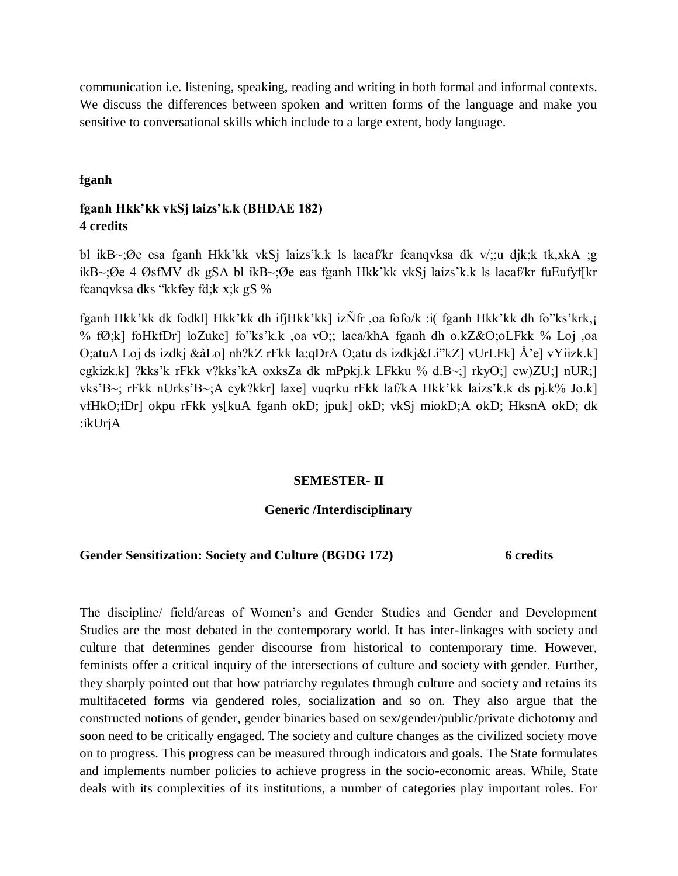communication i.e. listening, speaking, reading and writing in both formal and informal contexts. We discuss the differences between spoken and written forms of the language and make you sensitive to conversational skills which include to a large extent, body language.

## **fganh**

# **fganh Hkk'kk vkSj laizs'k.k (BHDAE 182) 4 credits**

bl ikB~;Øe esa fganh Hkk'kk vkSj laizs'k.k ls lacaf/kr fcanqvksa dk v/;;u djk;k tk,xkA ;g ikB~;Øe 4 ØsfMV dk gSA bl ikB~;Øe eas fganh Hkk'kk vkSj laizs'k.k ls lacaf/kr fuEufyf[kr fcanqvksa dks "kkfey fd;k x;k gS %

fganh Hkk'kk dk fodkl] Hkk'kk dh ifjHkk'kk] izÑfr ,oa fofo/k :i( fganh Hkk'kk dh fo"ks'krk,¡ % fØ;k] foHkfDr] loZuke] fo"ks'k.k ,oa vO;; laca/khA fganh dh o.kZ&O;oLFkk % Loj ,oa O;atuA Loj ds izdkj &âLo] nh?kZ rFkk la;qDrA O;atu ds izdkj&Li"kZ] vUrLFk] Å'e] vYiizk.k] egkizk.k] ?kks'k rFkk v?kks'kA oxksZa dk mPpkj.k LFkku % d.B~;] rkyO;] ew)ZU;] nUR;] vks'B~; rFkk nUrks'B~;A cyk?kkr] laxe] vuqrku rFkk laf/kA Hkk'kk laizs'k.k ds pj.k% Jo.k] vfHkO;fDr] okpu rFkk ys[kuA fganh okD; jpuk] okD; vkSj miokD;A okD; HksnA okD; dk :ikUrjA

## **SEMESTER- II**

## **Generic /Interdisciplinary**

## **Gender Sensitization: Society and Culture (BGDG 172) 6 credits**

The discipline/ field/areas of Women's and Gender Studies and Gender and Development Studies are the most debated in the contemporary world. It has inter-linkages with society and culture that determines gender discourse from historical to contemporary time. However, feminists offer a critical inquiry of the intersections of culture and society with gender. Further, they sharply pointed out that how patriarchy regulates through culture and society and retains its multifaceted forms via gendered roles, socialization and so on. They also argue that the constructed notions of gender, gender binaries based on sex/gender/public/private dichotomy and soon need to be critically engaged. The society and culture changes as the civilized society move on to progress. This progress can be measured through indicators and goals. The State formulates and implements number policies to achieve progress in the socio-economic areas. While, State deals with its complexities of its institutions, a number of categories play important roles. For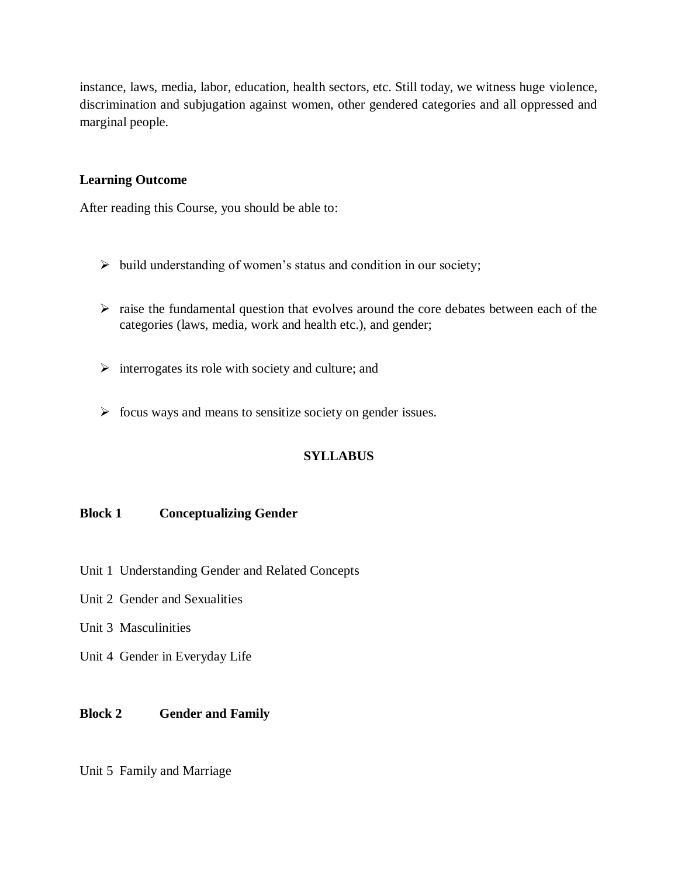instance, laws, media, labor, education, health sectors, etc. Still today, we witness huge violence, discrimination and subjugation against women, other gendered categories and all oppressed and marginal people.

# **Learning Outcome**

After reading this Course, you should be able to:

- $\triangleright$  build understanding of women's status and condition in our society;
- $\triangleright$  raise the fundamental question that evolves around the core debates between each of the categories (laws, media, work and health etc.), and gender;
- $\triangleright$  interrogates its role with society and culture; and
- $\triangleright$  focus ways and means to sensitize society on gender issues.

# **SYLLABUS**

## **Block 1 Conceptualizing Gender**

- Unit 1 Understanding Gender and Related Concepts
- Unit 2 Gender and Sexualities
- Unit 3 Masculinities
- Unit 4 Gender in Everyday Life

# **Block 2 Gender and Family**

Unit 5 Family and Marriage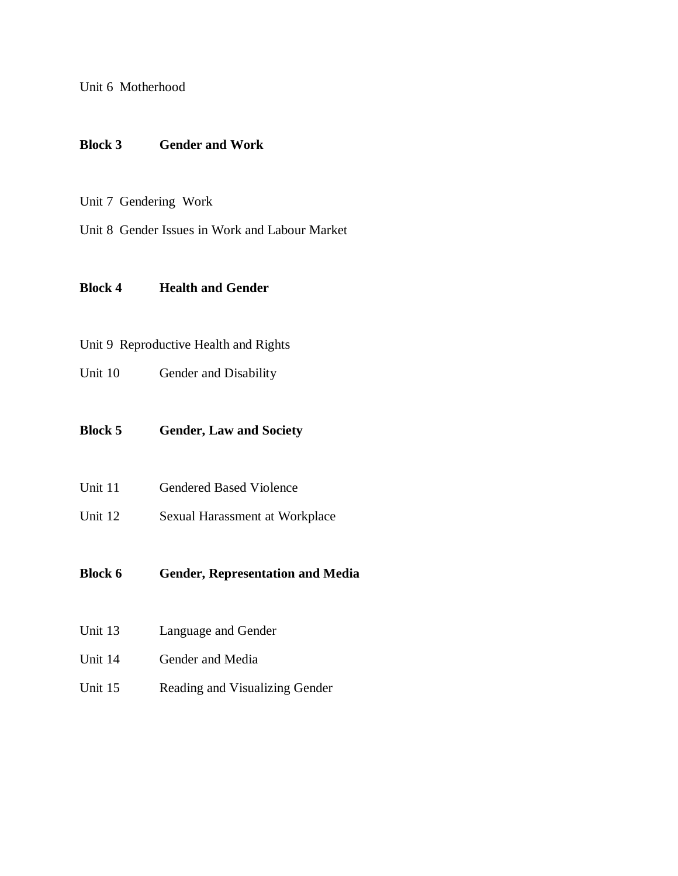Unit 6 Motherhood

## **Block 3 Gender and Work**

- Unit 7 Gendering Work
- Unit 8 Gender Issues in Work and Labour Market

# **Block 4 Health and Gender**

# Unit 9 Reproductive Health and Rights

Unit 10 Gender and Disability

## **Block 5 Gender, Law and Society**

- Unit 11 Gendered Based Violence
- Unit 12 Sexual Harassment at Workplace

# **Block 6 Gender, Representation and Media**

- Unit 13 Language and Gender
- Unit 14 Gender and Media
- Unit 15 Reading and Visualizing Gender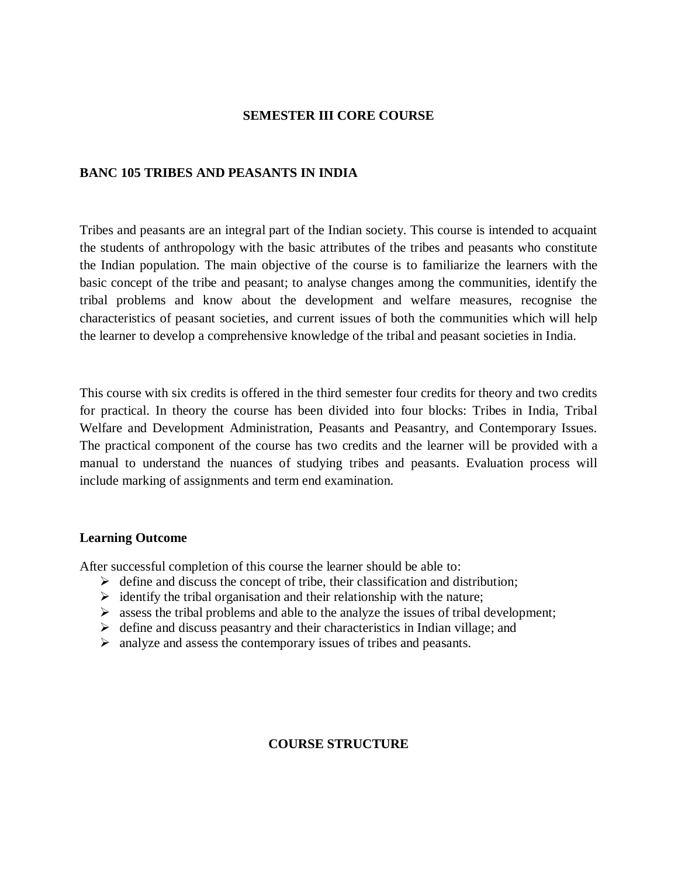# **SEMESTER III CORE COURSE**

# **BANC 105 TRIBES AND PEASANTS IN INDIA**

Tribes and peasants are an integral part of the Indian society. This course is intended to acquaint the students of anthropology with the basic attributes of the tribes and peasants who constitute the Indian population. The main objective of the course is to familiarize the learners with the basic concept of the tribe and peasant; to analyse changes among the communities, identify the tribal problems and know about the development and welfare measures, recognise the characteristics of peasant societies, and current issues of both the communities which will help the learner to develop a comprehensive knowledge of the tribal and peasant societies in India.

This course with six credits is offered in the third semester four credits for theory and two credits for practical. In theory the course has been divided into four blocks: Tribes in India, Tribal Welfare and Development Administration, Peasants and Peasantry, and Contemporary Issues. The practical component of the course has two credits and the learner will be provided with a manual to understand the nuances of studying tribes and peasants. Evaluation process will include marking of assignments and term end examination.

## **Learning Outcome**

After successful completion of this course the learner should be able to:

- $\triangleright$  define and discuss the concept of tribe, their classification and distribution;
- $\triangleright$  identify the tribal organisation and their relationship with the nature;
- $\triangleright$  assess the tribal problems and able to the analyze the issues of tribal development;
- $\triangleright$  define and discuss peasantry and their characteristics in Indian village; and
- analyze and assess the contemporary issues of tribes and peasants.

# **COURSE STRUCTURE**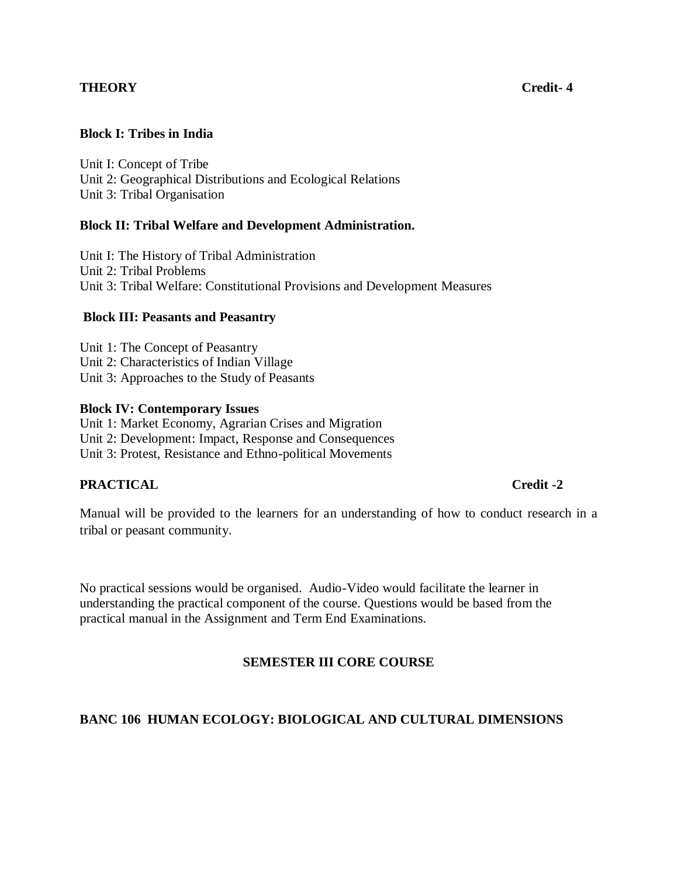# **THEORY** Credit-4

## **Block I: Tribes in India**

Unit I: Concept of Tribe Unit 2: Geographical Distributions and Ecological Relations Unit 3: Tribal Organisation

## **Block II: Tribal Welfare and Development Administration.**

Unit I: The History of Tribal Administration Unit 2: Tribal Problems Unit 3: Tribal Welfare: Constitutional Provisions and Development Measures

## **Block III: Peasants and Peasantry**

Unit 1: The Concept of Peasantry Unit 2: Characteristics of Indian Village Unit 3: Approaches to the Study of Peasants

## **Block IV: Contemporary Issues**

Unit 1: Market Economy, Agrarian Crises and Migration Unit 2: Development: Impact, Response and Consequences Unit 3: Protest, Resistance and Ethno-political Movements

## **PRACTICAL** Credit -2

Manual will be provided to the learners for an understanding of how to conduct research in a tribal or peasant community.

No practical sessions would be organised. Audio-Video would facilitate the learner in understanding the practical component of the course. Questions would be based from the practical manual in the Assignment and Term End Examinations.

## **SEMESTER III CORE COURSE**

## **BANC 106 HUMAN ECOLOGY: BIOLOGICAL AND CULTURAL DIMENSIONS**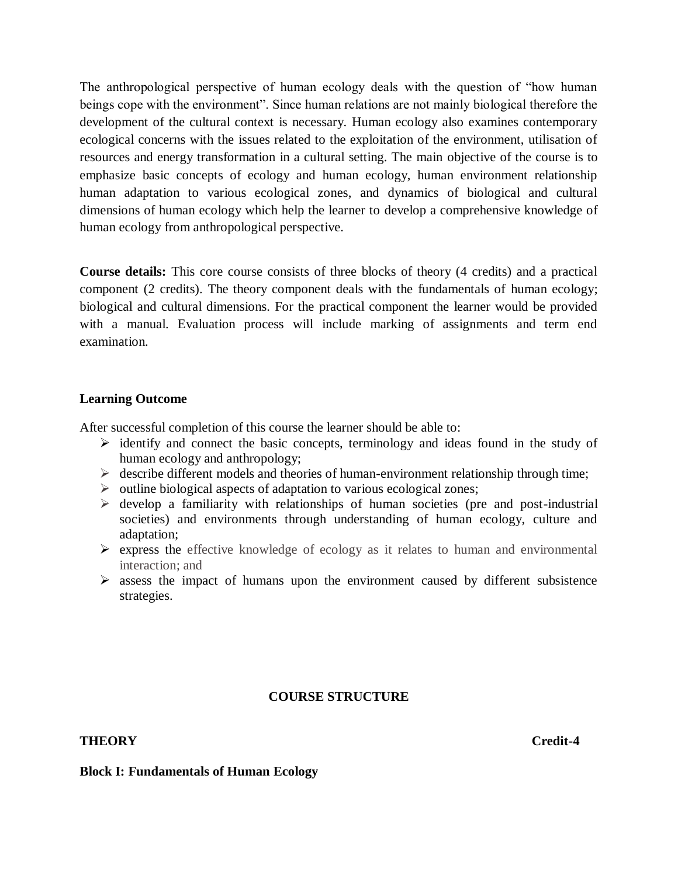The anthropological perspective of human ecology deals with the question of "how human beings cope with the environment". Since human relations are not mainly biological therefore the development of the cultural context is necessary. Human ecology also examines contemporary ecological concerns with the issues related to the exploitation of the environment, utilisation of resources and energy transformation in a cultural setting. The main objective of the course is to emphasize basic concepts of ecology and human ecology, human environment relationship human adaptation to various ecological zones, and dynamics of biological and cultural dimensions of human ecology which help the learner to develop a comprehensive knowledge of human ecology from anthropological perspective.

**Course details:** This core course consists of three blocks of theory (4 credits) and a practical component (2 credits). The theory component deals with the fundamentals of human ecology; biological and cultural dimensions. For the practical component the learner would be provided with a manual. Evaluation process will include marking of assignments and term end examination.

## **Learning Outcome**

After successful completion of this course the learner should be able to:

- $\triangleright$  identify and connect the basic concepts, terminology and ideas found in the study of human ecology and anthropology;
- $\triangleright$  describe different models and theories of human-environment relationship through time;
- $\triangleright$  outline biological aspects of adaptation to various ecological zones;
- $\triangleright$  develop a familiarity with relationships of human societies (pre and post-industrial societies) and environments through understanding of human ecology, culture and adaptation;
- $\triangleright$  express the effective knowledge of ecology as it relates to human and environmental interaction; and
- $\triangleright$  assess the impact of humans upon the environment caused by different subsistence strategies.

# **COURSE STRUCTURE**

# **THEORY** Credit-4

## **Block I: Fundamentals of Human Ecology**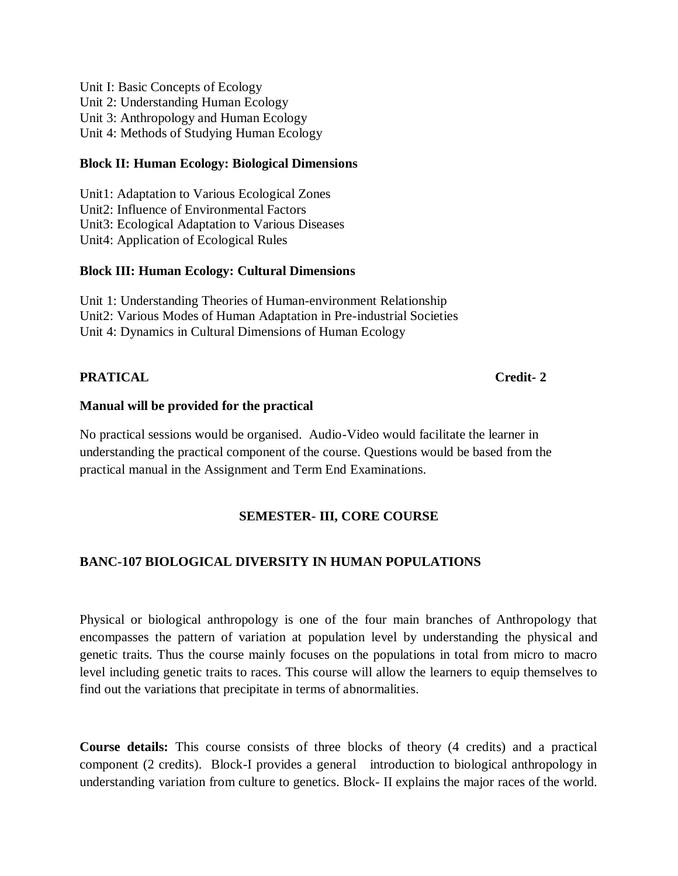Unit I: Basic Concepts of Ecology Unit 2: Understanding Human Ecology Unit 3: Anthropology and Human Ecology Unit 4: Methods of Studying Human Ecology

# **Block II: Human Ecology: Biological Dimensions**

Unit1: Adaptation to Various Ecological Zones Unit2: Influence of Environmental Factors Unit3: Ecological Adaptation to Various Diseases Unit4: Application of Ecological Rules

# **Block III: Human Ecology: Cultural Dimensions**

Unit 1: Understanding Theories of Human-environment Relationship Unit2: Various Modes of Human Adaptation in Pre-industrial Societies Unit 4: Dynamics in Cultural Dimensions of Human Ecology

# **PRATICAL Credit-2**

# **Manual will be provided for the practical**

No practical sessions would be organised. Audio-Video would facilitate the learner in understanding the practical component of the course. Questions would be based from the practical manual in the Assignment and Term End Examinations.

# **SEMESTER- III, CORE COURSE**

# **BANC-107 BIOLOGICAL DIVERSITY IN HUMAN POPULATIONS**

Physical or biological anthropology is one of the four main branches of Anthropology that encompasses the pattern of variation at population level by understanding the physical and genetic traits. Thus the course mainly focuses on the populations in total from micro to macro level including genetic traits to races. This course will allow the learners to equip themselves to find out the variations that precipitate in terms of abnormalities.

**Course details:** This course consists of three blocks of theory (4 credits) and a practical component (2 credits). Block-I provides a general introduction to biological anthropology in understanding variation from culture to genetics. Block- II explains the major races of the world.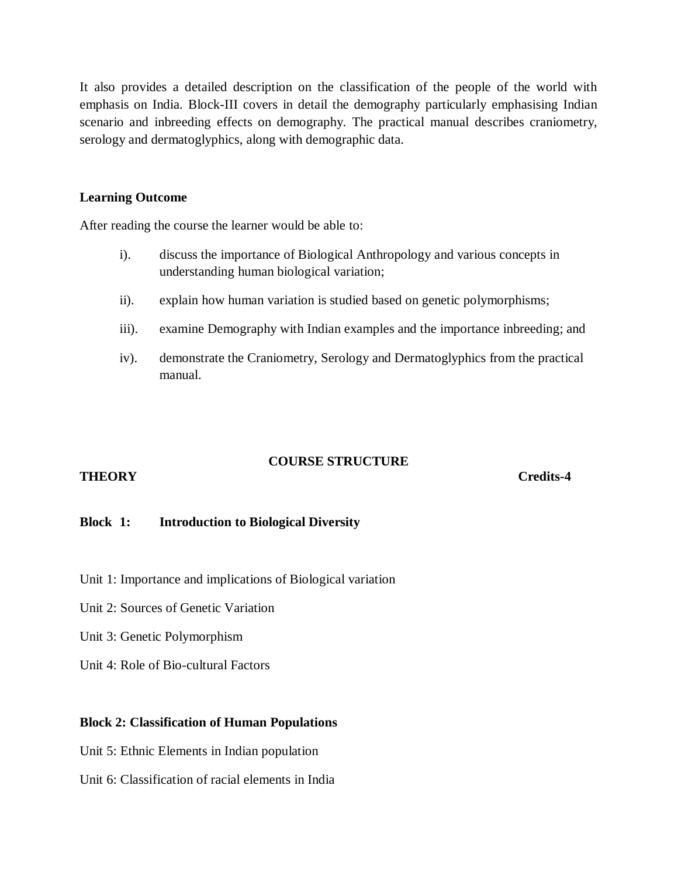It also provides a detailed description on the classification of the people of the world with emphasis on India. Block-III covers in detail the demography particularly emphasising Indian scenario and inbreeding effects on demography. The practical manual describes craniometry, serology and dermatoglyphics, along with demographic data.

## **Learning Outcome**

After reading the course the learner would be able to:

- i). discuss the importance of Biological Anthropology and various concepts in understanding human biological variation;
- ii). explain how human variation is studied based on genetic polymorphisms;
- iii). examine Demography with Indian examples and the importance inbreeding; and
- iv). demonstrate the Craniometry, Serology and Dermatoglyphics from the practical manual.

# **COURSE STRUCTURE**

## **THEORY Credits-4**

## **Block 1: Introduction to Biological Diversity**

- Unit 1: Importance and implications of Biological variation
- Unit 2: Sources of Genetic Variation
- Unit 3: Genetic Polymorphism
- Unit 4: Role of Bio-cultural Factors

## **Block 2: Classification of Human Populations**

- Unit 5: Ethnic Elements in Indian population
- Unit 6: Classification of racial elements in India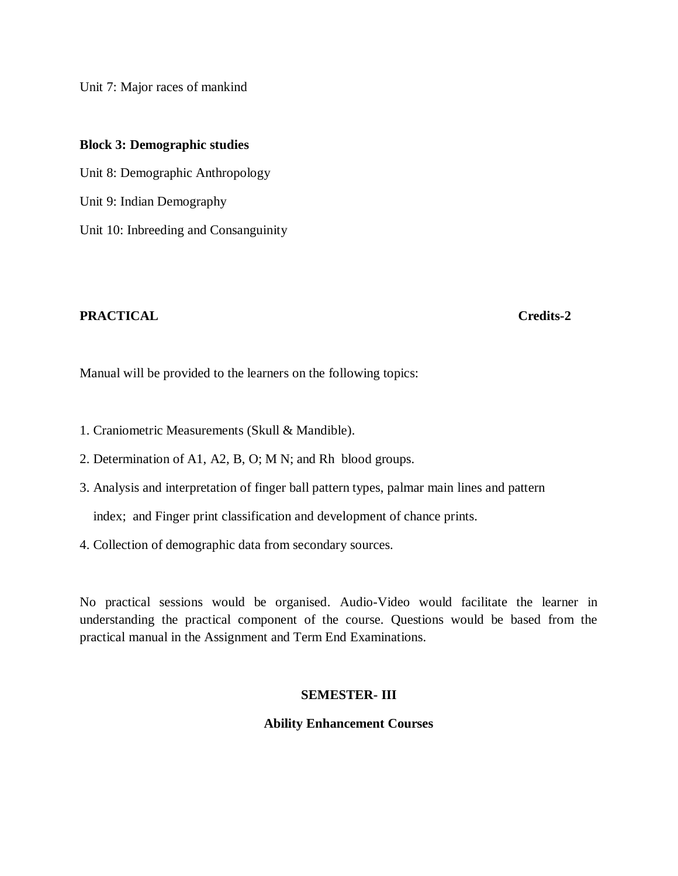Unit 7: Major races of mankind

**Block 3: Demographic studies** Unit 8: Demographic Anthropology Unit 9: Indian Demography Unit 10: Inbreeding and Consanguinity

## **PRACTICAL Credits-2**

Manual will be provided to the learners on the following topics:

- 1. Craniometric Measurements (Skull & Mandible).
- 2. Determination of A1, A2, B, O; M N; and Rh blood groups.
- 3. Analysis and interpretation of finger ball pattern types, palmar main lines and pattern

index; and Finger print classification and development of chance prints.

4. Collection of demographic data from secondary sources.

No practical sessions would be organised. Audio-Video would facilitate the learner in understanding the practical component of the course. Questions would be based from the practical manual in the Assignment and Term End Examinations.

## **SEMESTER- III**

## **Ability Enhancement Courses**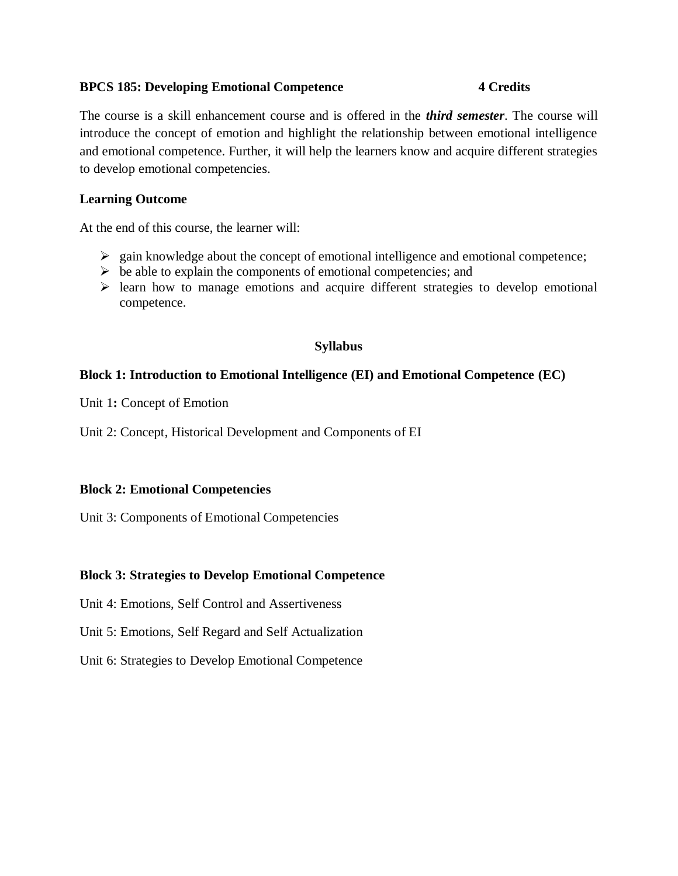## **BPCS 185: Developing Emotional Competence 4 Credits**

The course is a skill enhancement course and is offered in the *third semester*. The course will introduce the concept of emotion and highlight the relationship between emotional intelligence and emotional competence. Further, it will help the learners know and acquire different strategies to develop emotional competencies.

# **Learning Outcome**

At the end of this course, the learner will:

- $\triangleright$  gain knowledge about the concept of emotional intelligence and emotional competence;
- $\triangleright$  be able to explain the components of emotional competencies; and
- $\triangleright$  learn how to manage emotions and acquire different strategies to develop emotional competence.

# **Syllabus**

# **Block 1: Introduction to Emotional Intelligence (EI) and Emotional Competence (EC)**

Unit 1**:** Concept of Emotion

Unit 2: Concept, Historical Development and Components of EI

## **Block 2: Emotional Competencies**

Unit 3: Components of Emotional Competencies

## **Block 3: Strategies to Develop Emotional Competence**

Unit 4: Emotions, Self Control and Assertiveness

Unit 5: Emotions, Self Regard and Self Actualization

Unit 6: Strategies to Develop Emotional Competence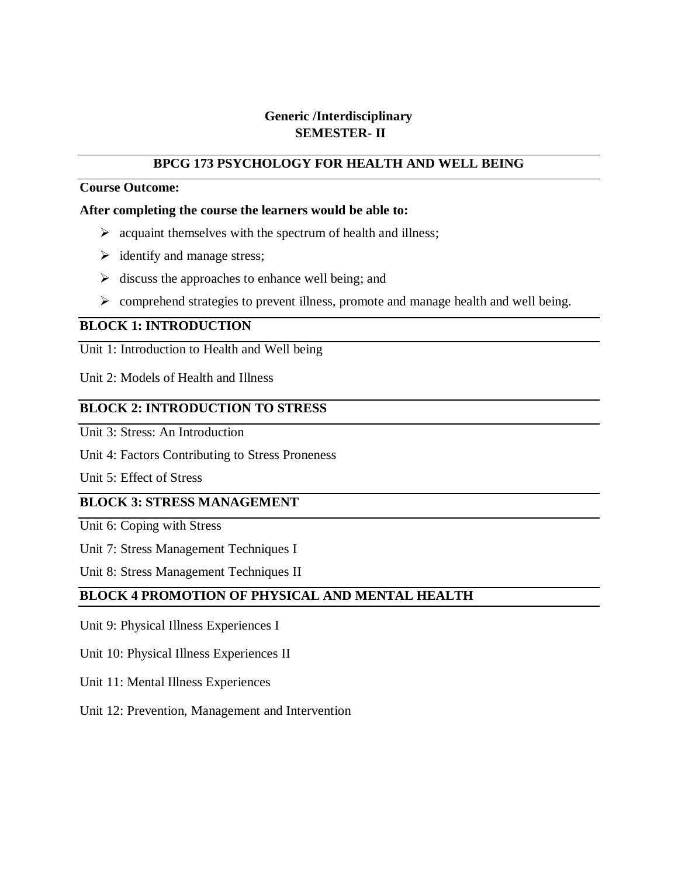# **Generic /Interdisciplinary SEMESTER- II**

# **BPCG 173 PSYCHOLOGY FOR HEALTH AND WELL BEING**

# **Course Outcome:**

## **After completing the course the learners would be able to:**

- $\triangleright$  acquaint themselves with the spectrum of health and illness;
- $\triangleright$  identify and manage stress;
- $\triangleright$  discuss the approaches to enhance well being; and
- $\triangleright$  comprehend strategies to prevent illness, promote and manage health and well being.

# **BLOCK 1: INTRODUCTION**

Unit 1: Introduction to Health and Well being

Unit 2: Models of Health and Illness

# **BLOCK 2: INTRODUCTION TO STRESS**

Unit 3: Stress: An Introduction

Unit 4: Factors Contributing to Stress Proneness

Unit 5: Effect of Stress

# **BLOCK 3: STRESS MANAGEMENT**

Unit 6: Coping with Stress

Unit 7: Stress Management Techniques I

Unit 8: Stress Management Techniques II

# **BLOCK 4 PROMOTION OF PHYSICAL AND MENTAL HEALTH**

Unit 9: Physical Illness Experiences I

Unit 10: Physical Illness Experiences II

- Unit 11: Mental Illness Experiences
- Unit 12: Prevention, Management and Intervention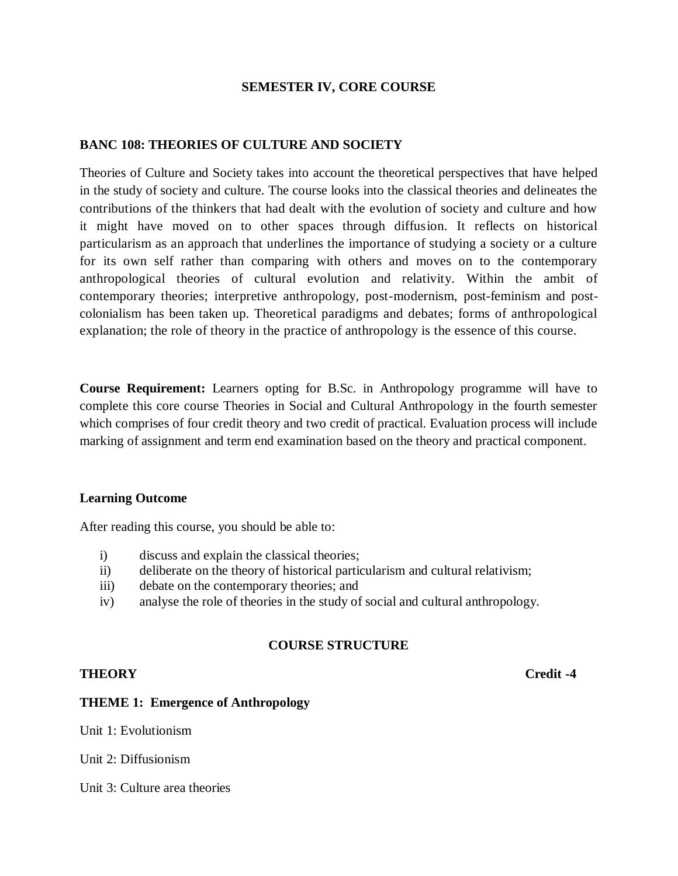## **SEMESTER IV, CORE COURSE**

## **BANC 108: THEORIES OF CULTURE AND SOCIETY**

Theories of Culture and Society takes into account the theoretical perspectives that have helped in the study of society and culture. The course looks into the classical theories and delineates the contributions of the thinkers that had dealt with the evolution of society and culture and how it might have moved on to other spaces through diffusion. It reflects on historical particularism as an approach that underlines the importance of studying a society or a culture for its own self rather than comparing with others and moves on to the contemporary anthropological theories of cultural evolution and relativity. Within the ambit of contemporary theories; interpretive anthropology, post-modernism, post-feminism and postcolonialism has been taken up. Theoretical paradigms and debates; forms of anthropological explanation; the role of theory in the practice of anthropology is the essence of this course.

**Course Requirement:** Learners opting for B.Sc. in Anthropology programme will have to complete this core course Theories in Social and Cultural Anthropology in the fourth semester which comprises of four credit theory and two credit of practical. Evaluation process will include marking of assignment and term end examination based on the theory and practical component.

## **Learning Outcome**

After reading this course, you should be able to:

- i) discuss and explain the classical theories;
- ii) deliberate on the theory of historical particularism and cultural relativism;
- iii) debate on the contemporary theories; and
- iv) analyse the role of theories in the study of social and cultural anthropology.

## **COURSE STRUCTURE**

## **THEORY** Credit -4

## **THEME 1: Emergence of Anthropology**

Unit 1: Evolutionism

Unit 2: Diffusionism

Unit 3: Culture area theories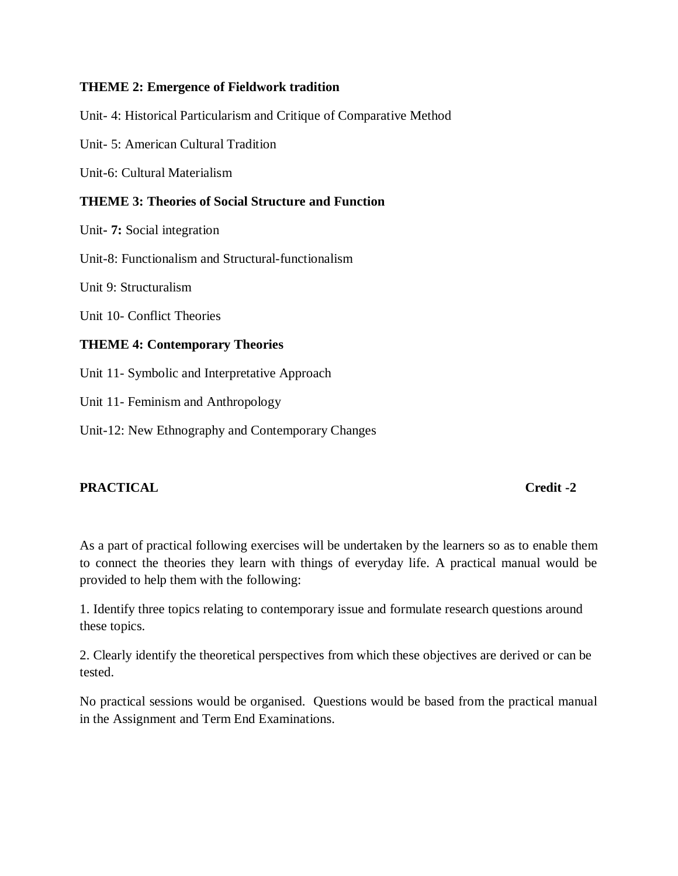# **THEME 2: Emergence of Fieldwork tradition**

Unit- 4: Historical Particularism and Critique of Comparative Method

Unit- 5: American Cultural Tradition

Unit-6: Cultural Materialism

# **THEME 3: Theories of Social Structure and Function**

Unit**- 7:** Social integration

Unit-8: Functionalism and Structural-functionalism

Unit 9: Structuralism

Unit 10- Conflict Theories

# **THEME 4: Contemporary Theories**

Unit 11- Symbolic and Interpretative Approach

Unit 11- Feminism and Anthropology

Unit-12: New Ethnography and Contemporary Changes

# **PRACTICAL Credit -2**

As a part of practical following exercises will be undertaken by the learners so as to enable them to connect the theories they learn with things of everyday life. A practical manual would be provided to help them with the following:

1. Identify three topics relating to contemporary issue and formulate research questions around these topics.

2. Clearly identify the theoretical perspectives from which these objectives are derived or can be tested.

No practical sessions would be organised. Questions would be based from the practical manual in the Assignment and Term End Examinations.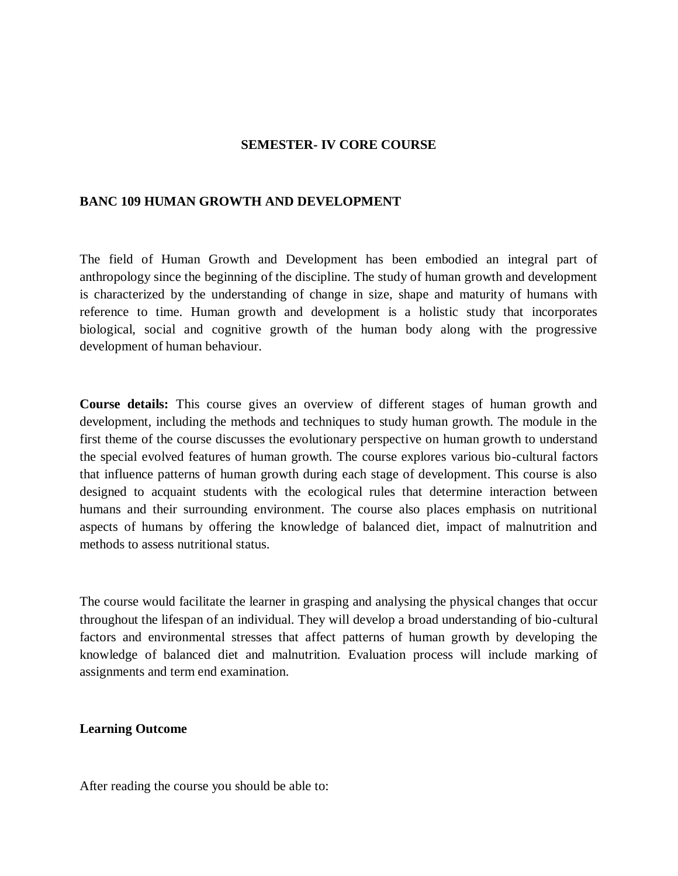### **SEMESTER- IV CORE COURSE**

### **BANC 109 HUMAN GROWTH AND DEVELOPMENT**

The field of Human Growth and Development has been embodied an integral part of anthropology since the beginning of the discipline. The study of human growth and development is characterized by the understanding of change in size, shape and maturity of humans with reference to time. Human growth and development is a holistic study that incorporates biological, social and cognitive growth of the human body along with the progressive development of human behaviour.

**Course details:** This course gives an overview of different stages of human growth and development, including the methods and techniques to study human growth. The module in the first theme of the course discusses the evolutionary perspective on human growth to understand the special evolved features of human growth. The course explores various bio-cultural factors that influence patterns of human growth during each stage of development. This course is also designed to acquaint students with the ecological rules that determine interaction between humans and their surrounding environment. The course also places emphasis on nutritional aspects of humans by offering the knowledge of balanced diet, impact of malnutrition and methods to assess nutritional status.

The course would facilitate the learner in grasping and analysing the physical changes that occur throughout the lifespan of an individual. They will develop a broad understanding of bio-cultural factors and environmental stresses that affect patterns of human growth by developing the knowledge of balanced diet and malnutrition. Evaluation process will include marking of assignments and term end examination.

## **Learning Outcome**

After reading the course you should be able to: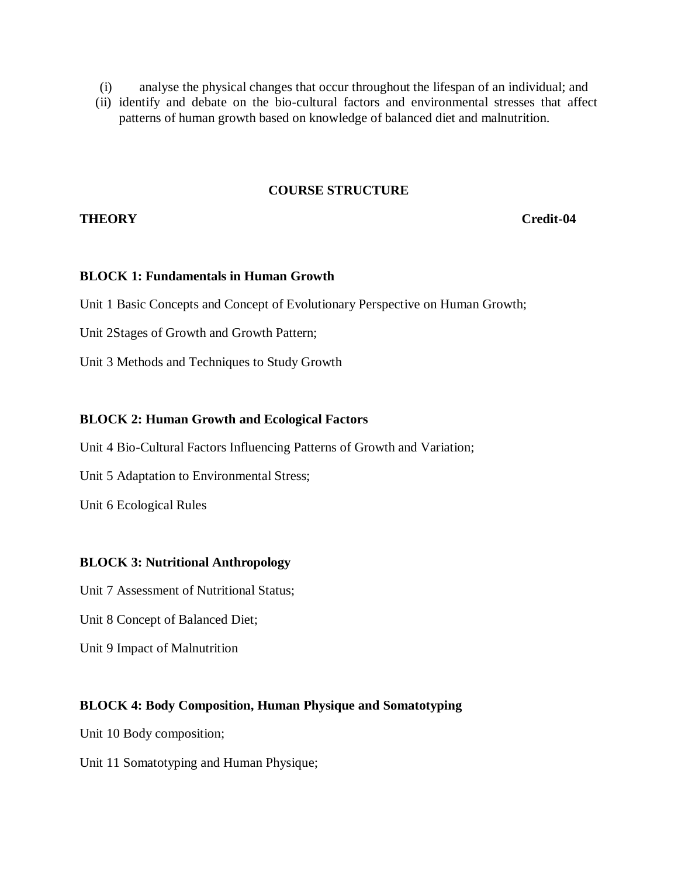- (i) analyse the physical changes that occur throughout the lifespan of an individual; and
- (ii) identify and debate on the bio-cultural factors and environmental stresses that affect patterns of human growth based on knowledge of balanced diet and malnutrition.

## **COURSE STRUCTURE**

## **THEORY Credit-04**

## **BLOCK 1: Fundamentals in Human Growth**

Unit 1 Basic Concepts and Concept of Evolutionary Perspective on Human Growth;

Unit 2Stages of Growth and Growth Pattern;

Unit 3 Methods and Techniques to Study Growth

## **BLOCK 2: Human Growth and Ecological Factors**

Unit 4 Bio-Cultural Factors Influencing Patterns of Growth and Variation;

Unit 5 Adaptation to Environmental Stress;

Unit 6 Ecological Rules

## **BLOCK 3: Nutritional Anthropology**

Unit 7 Assessment of Nutritional Status;

Unit 8 Concept of Balanced Diet;

Unit 9 Impact of Malnutrition

## **BLOCK 4: Body Composition, Human Physique and Somatotyping**

Unit 10 Body composition;

Unit 11 Somatotyping and Human Physique;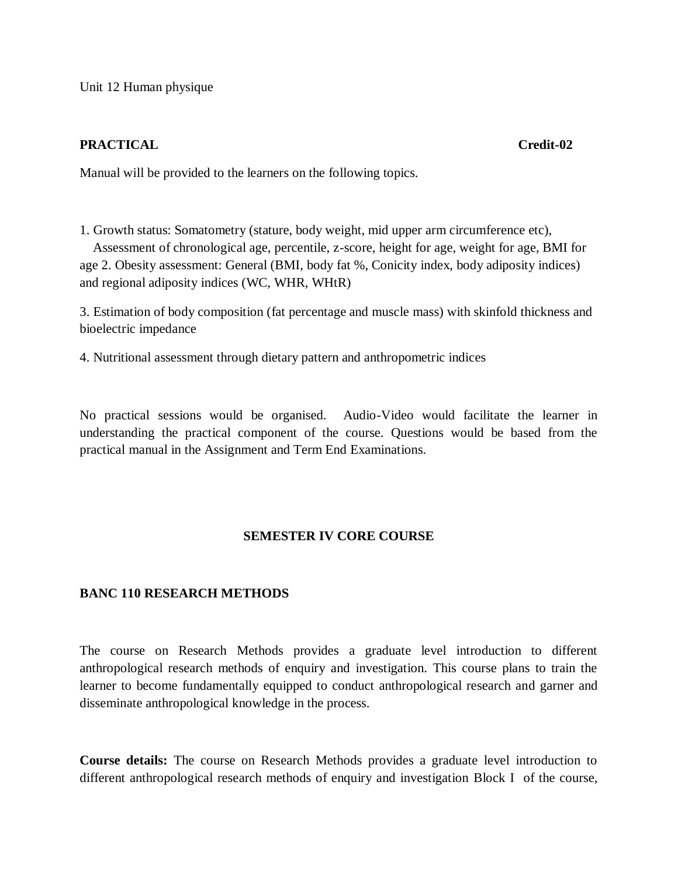Unit 12 Human physique

# **PRACTICAL Credit-02**

Manual will be provided to the learners on the following topics.

1. Growth status: Somatometry (stature, body weight, mid upper arm circumference etc), Assessment of chronological age, percentile, z-score, height for age, weight for age, BMI for age 2. Obesity assessment: General (BMI, body fat %, Conicity index, body adiposity indices) and regional adiposity indices (WC, WHR, WHtR)

3. Estimation of body composition (fat percentage and muscle mass) with skinfold thickness and bioelectric impedance

4. Nutritional assessment through dietary pattern and anthropometric indices

No practical sessions would be organised. Audio-Video would facilitate the learner in understanding the practical component of the course. Questions would be based from the practical manual in the Assignment and Term End Examinations.

# **SEMESTER IV CORE COURSE**

# **BANC 110 RESEARCH METHODS**

The course on Research Methods provides a graduate level introduction to different anthropological research methods of enquiry and investigation. This course plans to train the learner to become fundamentally equipped to conduct anthropological research and garner and disseminate anthropological knowledge in the process.

**Course details:** The course on Research Methods provides a graduate level introduction to different anthropological research methods of enquiry and investigation Block I of the course,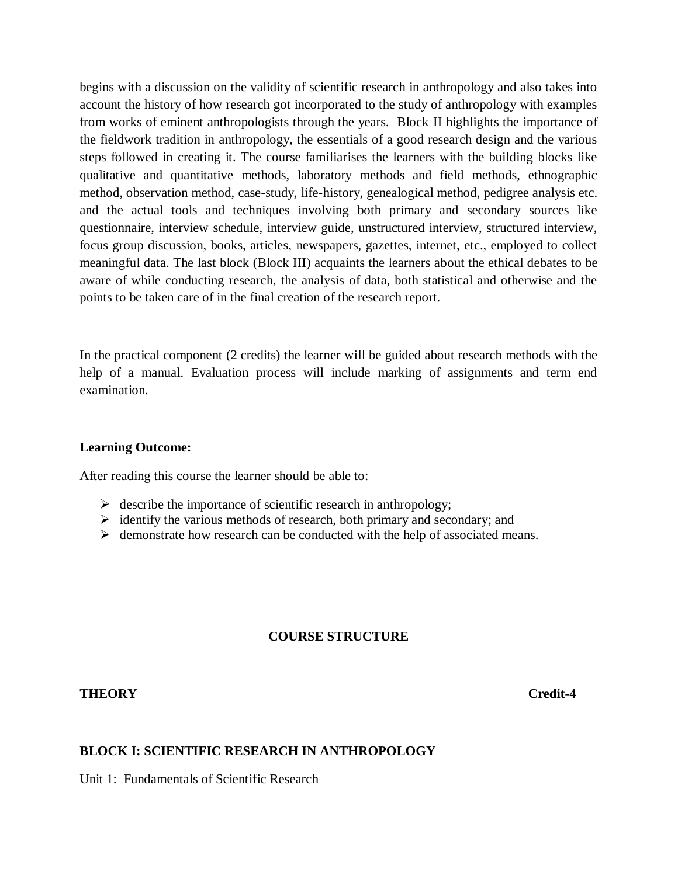begins with a discussion on the validity of scientific research in anthropology and also takes into account the history of how research got incorporated to the study of anthropology with examples from works of eminent anthropologists through the years. Block II highlights the importance of the fieldwork tradition in anthropology, the essentials of a good research design and the various steps followed in creating it. The course familiarises the learners with the building blocks like qualitative and quantitative methods, laboratory methods and field methods, ethnographic method, observation method, case-study, life-history, genealogical method, pedigree analysis etc. and the actual tools and techniques involving both primary and secondary sources like questionnaire, interview schedule, interview guide, unstructured interview, structured interview, focus group discussion, books, articles, newspapers, gazettes, internet, etc., employed to collect meaningful data. The last block (Block III) acquaints the learners about the ethical debates to be aware of while conducting research, the analysis of data, both statistical and otherwise and the points to be taken care of in the final creation of the research report.

In the practical component (2 credits) the learner will be guided about research methods with the help of a manual. Evaluation process will include marking of assignments and term end examination.

## **Learning Outcome:**

After reading this course the learner should be able to:

- $\triangleright$  describe the importance of scientific research in anthropology;
- $\triangleright$  identify the various methods of research, both primary and secondary; and
- $\triangleright$  demonstrate how research can be conducted with the help of associated means.

# **COURSE STRUCTURE**

## **THEORY Credit-4**

## **BLOCK I: SCIENTIFIC RESEARCH IN ANTHROPOLOGY**

Unit 1: Fundamentals of Scientific Research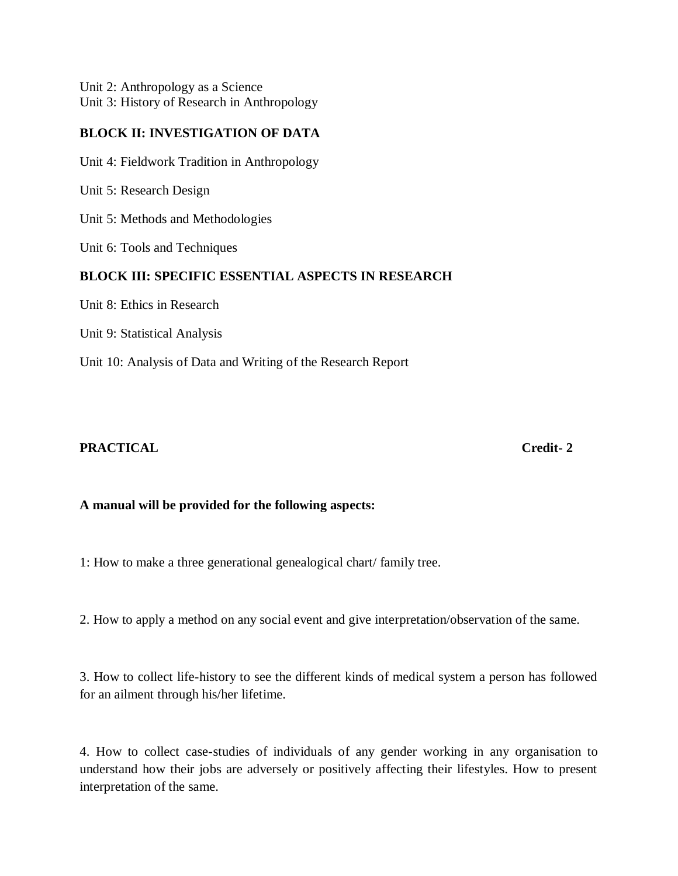Unit 2: Anthropology as a Science Unit 3: History of Research in Anthropology

# **BLOCK II: INVESTIGATION OF DATA**

Unit 4: Fieldwork Tradition in Anthropology

Unit 5: Research Design

Unit 5: Methods and Methodologies

Unit 6: Tools and Techniques

# **BLOCK III: SPECIFIC ESSENTIAL ASPECTS IN RESEARCH**

Unit 8: Ethics in Research

Unit 9: Statistical Analysis

Unit 10: Analysis of Data and Writing of the Research Report

# **PRACTICAL Credit- 2**

# **A manual will be provided for the following aspects:**

1: How to make a three generational genealogical chart/ family tree.

2. How to apply a method on any social event and give interpretation/observation of the same.

3. How to collect life-history to see the different kinds of medical system a person has followed for an ailment through his/her lifetime.

4. How to collect case-studies of individuals of any gender working in any organisation to understand how their jobs are adversely or positively affecting their lifestyles. How to present interpretation of the same.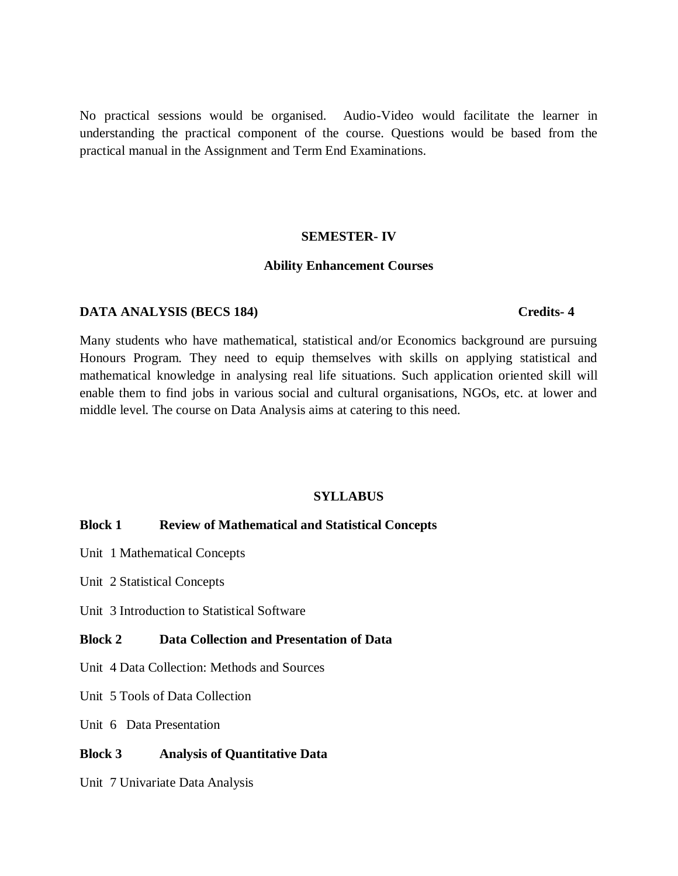No practical sessions would be organised. Audio-Video would facilitate the learner in understanding the practical component of the course. Questions would be based from the practical manual in the Assignment and Term End Examinations.

### **SEMESTER- IV**

### **Ability Enhancement Courses**

## **DATA ANALYSIS (BECS 184) Credits- 4**

Many students who have mathematical, statistical and/or Economics background are pursuing Honours Program. They need to equip themselves with skills on applying statistical and mathematical knowledge in analysing real life situations. Such application oriented skill will enable them to find jobs in various social and cultural organisations, NGOs, etc. at lower and middle level. The course on Data Analysis aims at catering to this need.

## **SYLLABUS**

## **Block 1 Review of Mathematical and Statistical Concepts**

- Unit 1 Mathematical Concepts
- Unit 2 Statistical Concepts
- Unit 3 Introduction to Statistical Software

## **Block 2 Data Collection and Presentation of Data**

- Unit 4 Data Collection: Methods and Sources
- Unit 5 Tools of Data Collection
- Unit 6 Data Presentation

## **Block 3 Analysis of Quantitative Data**

Unit 7 Univariate Data Analysis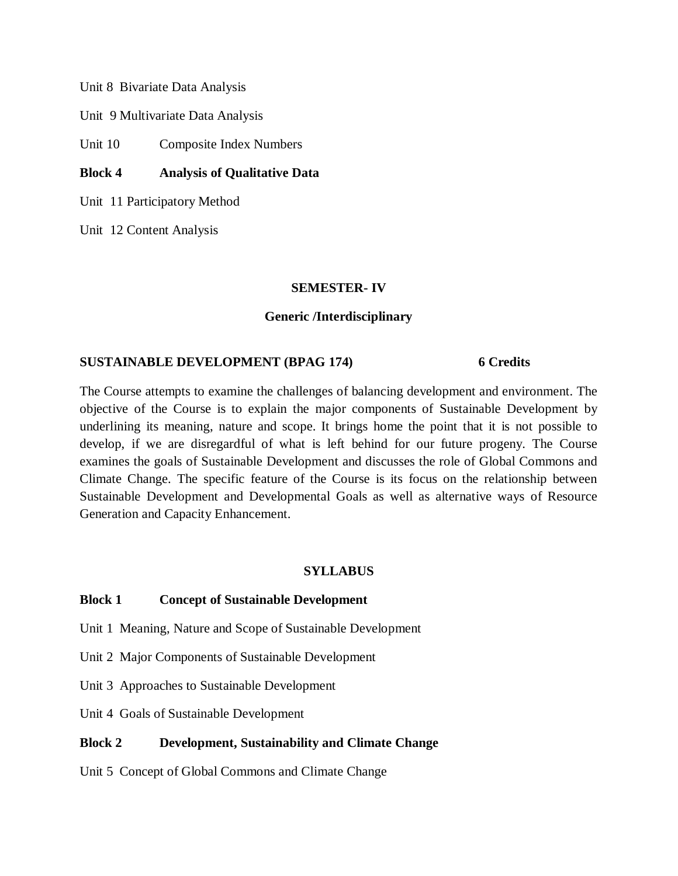Unit 8 Bivariate Data Analysis

Unit 9 Multivariate Data Analysis

Unit 10 Composite Index Numbers

# **Block 4 Analysis of Qualitative Data**

Unit 11 Participatory Method

Unit 12 Content Analysis

## **SEMESTER- IV**

## **Generic /Interdisciplinary**

## **SUSTAINABLE DEVELOPMENT (BPAG 174) 6 Credits**

The Course attempts to examine the challenges of balancing development and environment. The objective of the Course is to explain the major components of Sustainable Development by underlining its meaning, nature and scope. It brings home the point that it is not possible to develop, if we are disregardful of what is left behind for our future progeny. The Course examines the goals of Sustainable Development and discusses the role of Global Commons and Climate Change. The specific feature of the Course is its focus on the relationship between Sustainable Development and Developmental Goals as well as alternative ways of Resource Generation and Capacity Enhancement.

## **SYLLABUS**

## **Block 1 Concept of Sustainable Development**

- Unit 1 Meaning, Nature and Scope of Sustainable Development
- Unit 2 Major Components of Sustainable Development
- Unit 3 Approaches to Sustainable Development
- Unit 4 Goals of Sustainable Development

## **Block 2 Development, Sustainability and Climate Change**

Unit 5 Concept of Global Commons and Climate Change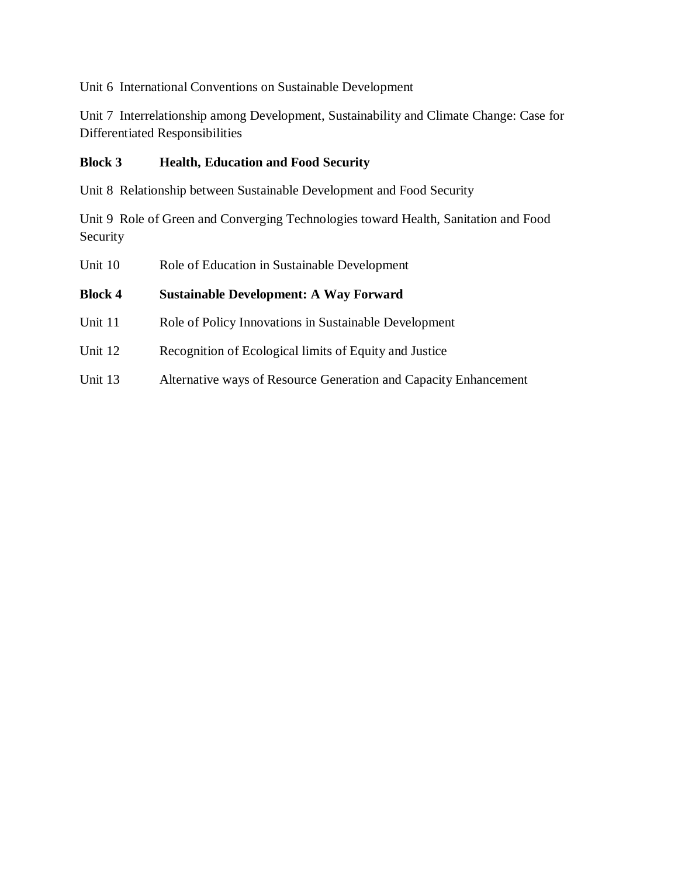Unit 6 International Conventions on Sustainable Development

Unit 7 Interrelationship among Development, Sustainability and Climate Change: Case for Differentiated Responsibilities

# **Block 3 Health, Education and Food Security**

Unit 8 Relationship between Sustainable Development and Food Security

Unit 9 Role of Green and Converging Technologies toward Health, Sanitation and Food Security

| Unit 10        | Role of Education in Sustainable Development                     |
|----------------|------------------------------------------------------------------|
| <b>Block 4</b> | <b>Sustainable Development: A Way Forward</b>                    |
| Unit 11        | Role of Policy Innovations in Sustainable Development            |
| Unit 12        | Recognition of Ecological limits of Equity and Justice           |
| Unit 13        | Alternative ways of Resource Generation and Capacity Enhancement |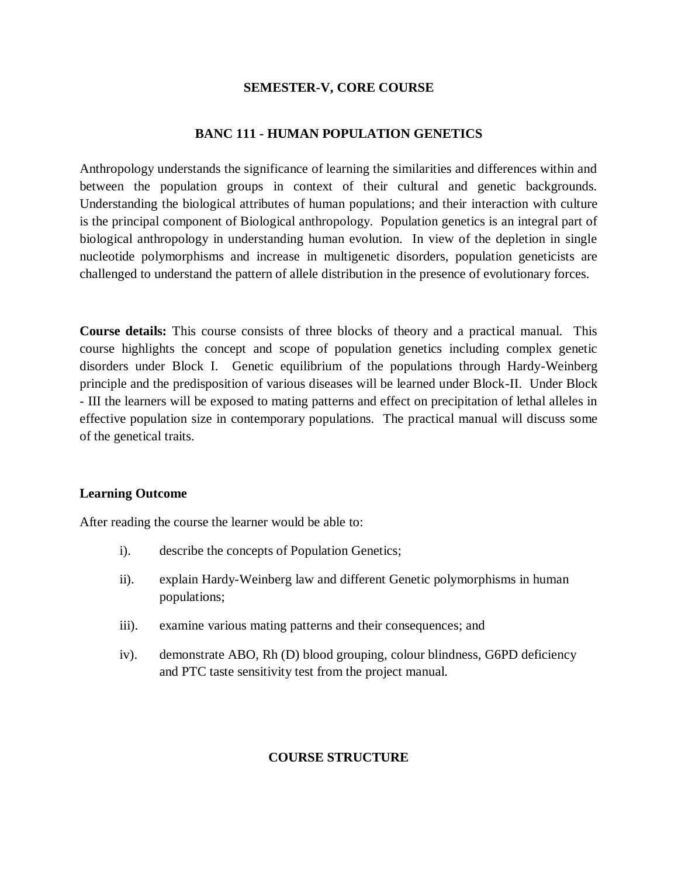## **SEMESTER-V, CORE COURSE**

## **BANC 111 - HUMAN POPULATION GENETICS**

Anthropology understands the significance of learning the similarities and differences within and between the population groups in context of their cultural and genetic backgrounds. Understanding the biological attributes of human populations; and their interaction with culture is the principal component of Biological anthropology. Population genetics is an integral part of biological anthropology in understanding human evolution. In view of the depletion in single nucleotide polymorphisms and increase in multigenetic disorders, population geneticists are challenged to understand the pattern of allele distribution in the presence of evolutionary forces.

**Course details:** This course consists of three blocks of theory and a practical manual. This course highlights the concept and scope of population genetics including complex genetic disorders under Block I. Genetic equilibrium of the populations through Hardy-Weinberg principle and the predisposition of various diseases will be learned under Block-II. Under Block - III the learners will be exposed to mating patterns and effect on precipitation of lethal alleles in effective population size in contemporary populations. The practical manual will discuss some of the genetical traits.

## **Learning Outcome**

After reading the course the learner would be able to:

- i). describe the concepts of Population Genetics;
- ii). explain Hardy-Weinberg law and different Genetic polymorphisms in human populations;
- iii). examine various mating patterns and their consequences; and
- iv). demonstrate ABO, Rh (D) blood grouping, colour blindness, G6PD deficiency and PTC taste sensitivity test from the project manual.

# **COURSE STRUCTURE**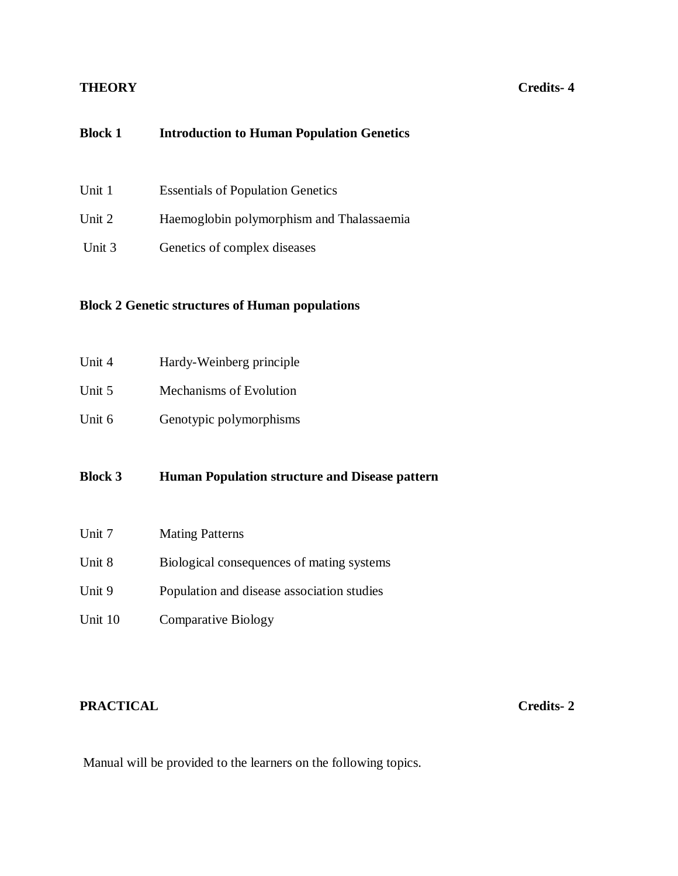# **THEORY Credits- 4**

# **Block 1 Introduction to Human Population Genetics**

| Unit 1 | <b>Essentials of Population Genetics</b>  |
|--------|-------------------------------------------|
| Unit 2 | Haemoglobin polymorphism and Thalassaemia |
| Unit 3 | Genetics of complex diseases              |

# **Block 2 Genetic structures of Human populations**

| Unit 4 | Hardy-Weinberg principle |
|--------|--------------------------|
| Unit 5 | Mechanisms of Evolution  |
| Unit 6 | Genotypic polymorphisms  |

**Block 3 Human Population structure and Disease pattern** 

| Unit 7  | <b>Mating Patterns</b>                     |
|---------|--------------------------------------------|
| Unit 8  | Biological consequences of mating systems  |
| Unit 9  | Population and disease association studies |
| Unit 10 | <b>Comparative Biology</b>                 |

# **PRACTICAL Credits- 2**

Manual will be provided to the learners on the following topics.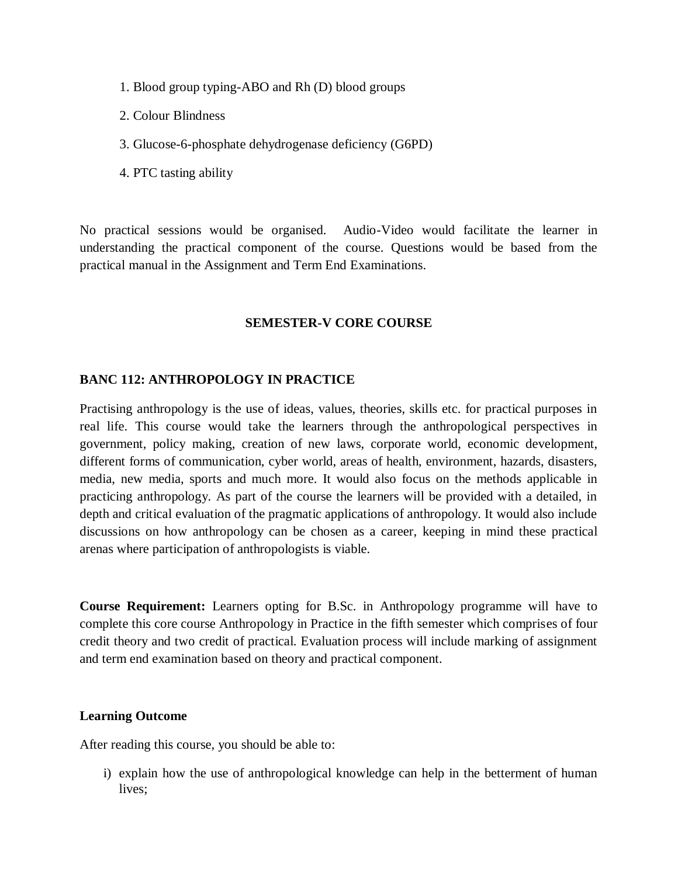- 1. Blood group typing-ABO and Rh (D) blood groups
- 2. Colour Blindness
- 3. Glucose-6-phosphate dehydrogenase deficiency (G6PD)
- 4. PTC tasting ability

No practical sessions would be organised. Audio-Video would facilitate the learner in understanding the practical component of the course. Questions would be based from the practical manual in the Assignment and Term End Examinations.

## **SEMESTER-V CORE COURSE**

## **BANC 112: ANTHROPOLOGY IN PRACTICE**

Practising anthropology is the use of ideas, values, theories, skills etc. for practical purposes in real life. This course would take the learners through the anthropological perspectives in government, policy making, creation of new laws, corporate world, economic development, different forms of communication, cyber world, areas of health, environment, hazards, disasters, media, new media, sports and much more. It would also focus on the methods applicable in practicing anthropology. As part of the course the learners will be provided with a detailed, in depth and critical evaluation of the pragmatic applications of anthropology. It would also include discussions on how anthropology can be chosen as a career, keeping in mind these practical arenas where participation of anthropologists is viable.

**Course Requirement:** Learners opting for B.Sc. in Anthropology programme will have to complete this core course Anthropology in Practice in the fifth semester which comprises of four credit theory and two credit of practical. Evaluation process will include marking of assignment and term end examination based on theory and practical component.

## **Learning Outcome**

After reading this course, you should be able to:

i) explain how the use of anthropological knowledge can help in the betterment of human lives;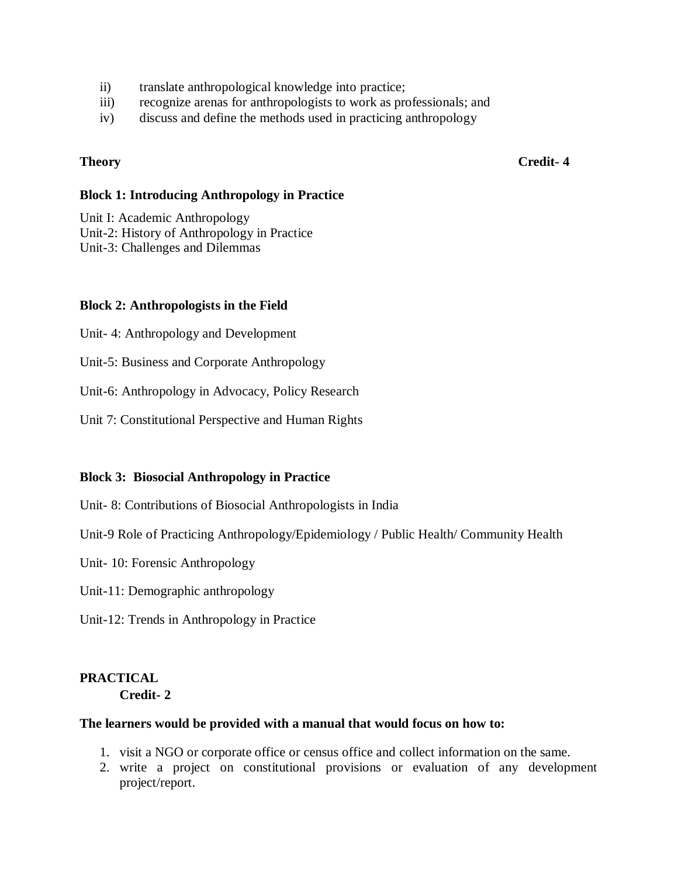- ii) translate anthropological knowledge into practice;
- iii) recognize arenas for anthropologists to work as professionals; and
- iv) discuss and define the methods used in practicing anthropology

**Theory Credit- 4**

## **Block 1: Introducing Anthropology in Practice**

Unit I: Academic Anthropology

Unit-2: History of Anthropology in Practice

Unit-3: Challenges and Dilemmas

# **Block 2: Anthropologists in the Field**

Unit- 4: Anthropology and Development

Unit-5: Business and Corporate Anthropology

Unit-6: Anthropology in Advocacy, Policy Research

Unit 7: Constitutional Perspective and Human Rights

## **Block 3: Biosocial Anthropology in Practice**

Unit- 8: Contributions of Biosocial Anthropologists in India

Unit-9 Role of Practicing Anthropology/Epidemiology / Public Health/ Community Health

Unit- 10: Forensic Anthropology

Unit-11: Demographic anthropology

Unit-12: Trends in Anthropology in Practice

# **PRACTICAL**

**Credit- 2**

## **The learners would be provided with a manual that would focus on how to:**

- 1. visit a NGO or corporate office or census office and collect information on the same.
- 2. write a project on constitutional provisions or evaluation of any development project/report.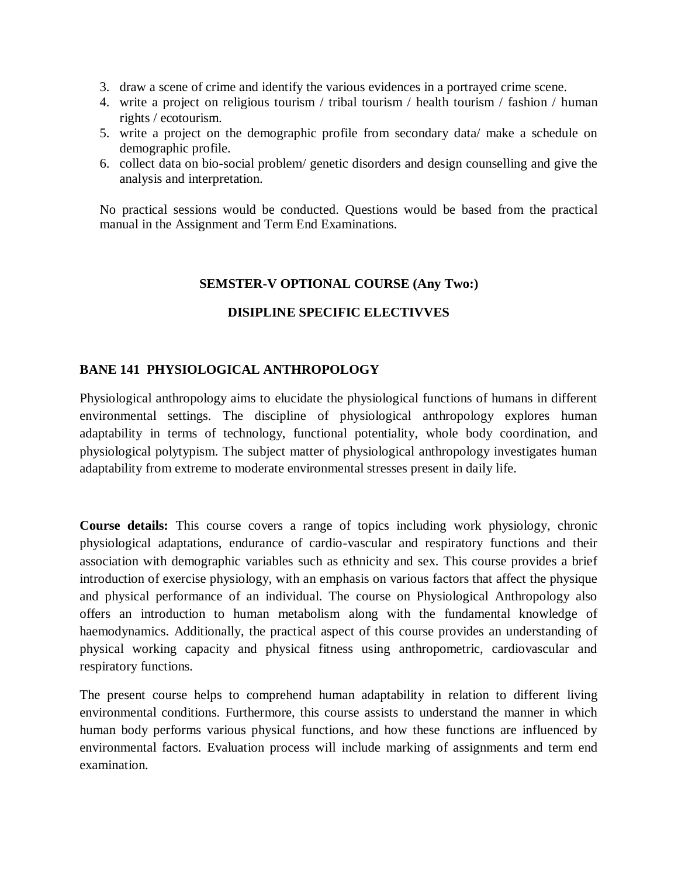- 3. draw a scene of crime and identify the various evidences in a portrayed crime scene.
- 4. write a project on religious tourism / tribal tourism / health tourism / fashion / human rights / ecotourism.
- 5. write a project on the demographic profile from secondary data/ make a schedule on demographic profile.
- 6. collect data on bio-social problem/ genetic disorders and design counselling and give the analysis and interpretation.

No practical sessions would be conducted. Questions would be based from the practical manual in the Assignment and Term End Examinations.

# **SEMSTER-V OPTIONAL COURSE (Any Two:)**

# **DISIPLINE SPECIFIC ELECTIVVES**

# **BANE 141 PHYSIOLOGICAL ANTHROPOLOGY**

Physiological anthropology aims to elucidate the physiological functions of humans in different environmental settings. The discipline of physiological anthropology explores human adaptability in terms of technology, functional potentiality, whole body coordination, and physiological polytypism. The subject matter of physiological anthropology investigates human adaptability from extreme to moderate environmental stresses present in daily life.

**Course details:** This course covers a range of topics including work physiology, chronic physiological adaptations, endurance of cardio-vascular and respiratory functions and their association with demographic variables such as ethnicity and sex. This course provides a brief introduction of exercise physiology, with an emphasis on various factors that affect the physique and physical performance of an individual. The course on Physiological Anthropology also offers an introduction to human metabolism along with the fundamental knowledge of haemodynamics. Additionally, the practical aspect of this course provides an understanding of physical working capacity and physical fitness using anthropometric, cardiovascular and respiratory functions.

The present course helps to comprehend human adaptability in relation to different living environmental conditions. Furthermore, this course assists to understand the manner in which human body performs various physical functions, and how these functions are influenced by environmental factors. Evaluation process will include marking of assignments and term end examination.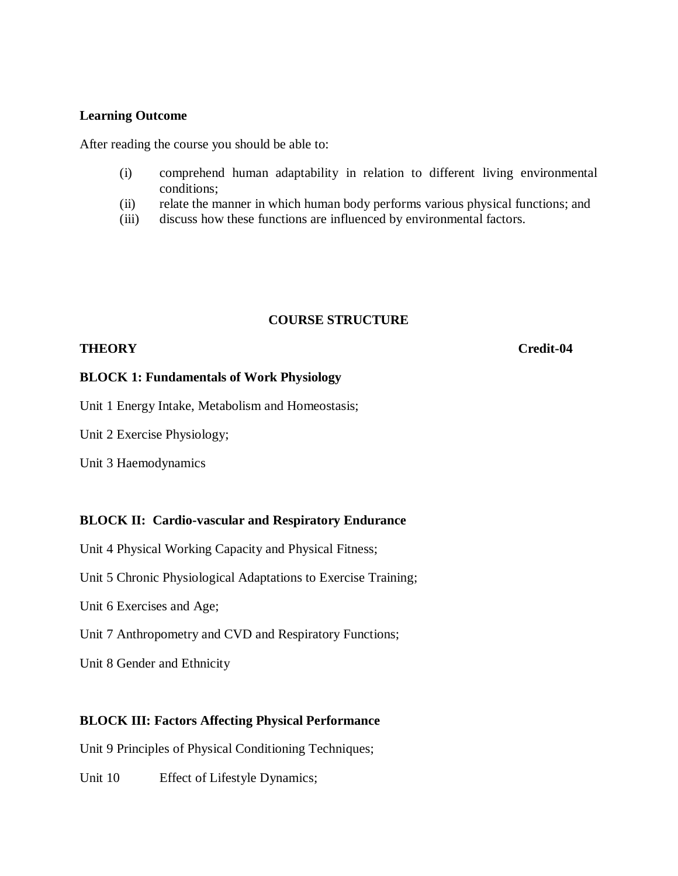## **Learning Outcome**

After reading the course you should be able to:

- (i) comprehend human adaptability in relation to different living environmental conditions;
- (ii) relate the manner in which human body performs various physical functions; and
- (iii) discuss how these functions are influenced by environmental factors.

## **COURSE STRUCTURE**

## **THEORY Credit-04**

## **BLOCK 1: Fundamentals of Work Physiology**

Unit 1 Energy Intake, Metabolism and Homeostasis;

Unit 2 Exercise Physiology;

Unit 3 Haemodynamics

## **BLOCK II: Cardio-vascular and Respiratory Endurance**

Unit 4 Physical Working Capacity and Physical Fitness;

Unit 5 Chronic Physiological Adaptations to Exercise Training;

Unit 6 Exercises and Age;

Unit 7 Anthropometry and CVD and Respiratory Functions;

Unit 8 Gender and Ethnicity

## **BLOCK III: Factors Affecting Physical Performance**

Unit 9 Principles of Physical Conditioning Techniques;

Unit 10 Effect of Lifestyle Dynamics;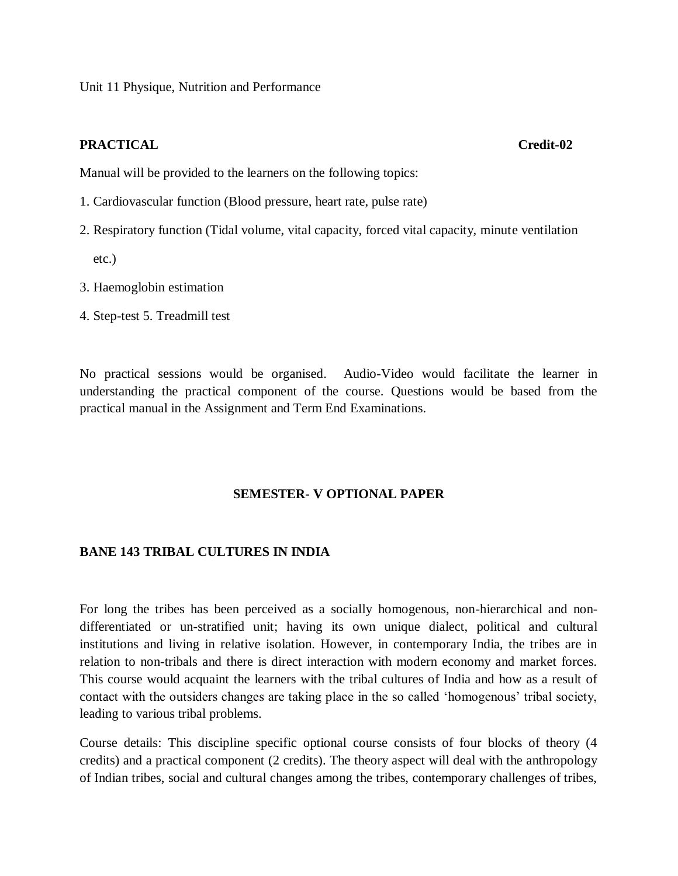Unit 11 Physique, Nutrition and Performance

## **PRACTICAL Credit-02**

Manual will be provided to the learners on the following topics:

- 1. Cardiovascular function (Blood pressure, heart rate, pulse rate)
- 2. Respiratory function (Tidal volume, vital capacity, forced vital capacity, minute ventilation etc.)
- 3. Haemoglobin estimation
- 4. Step-test 5. Treadmill test

No practical sessions would be organised. Audio-Video would facilitate the learner in understanding the practical component of the course. Questions would be based from the practical manual in the Assignment and Term End Examinations.

## **SEMESTER- V OPTIONAL PAPER**

## **BANE 143 TRIBAL CULTURES IN INDIA**

For long the tribes has been perceived as a socially homogenous, non-hierarchical and nondifferentiated or un-stratified unit; having its own unique dialect, political and cultural institutions and living in relative isolation. However, in contemporary India, the tribes are in relation to non-tribals and there is direct interaction with modern economy and market forces. This course would acquaint the learners with the tribal cultures of India and how as a result of contact with the outsiders changes are taking place in the so called 'homogenous' tribal society, leading to various tribal problems.

Course details: This discipline specific optional course consists of four blocks of theory (4 credits) and a practical component (2 credits). The theory aspect will deal with the anthropology of Indian tribes, social and cultural changes among the tribes, contemporary challenges of tribes,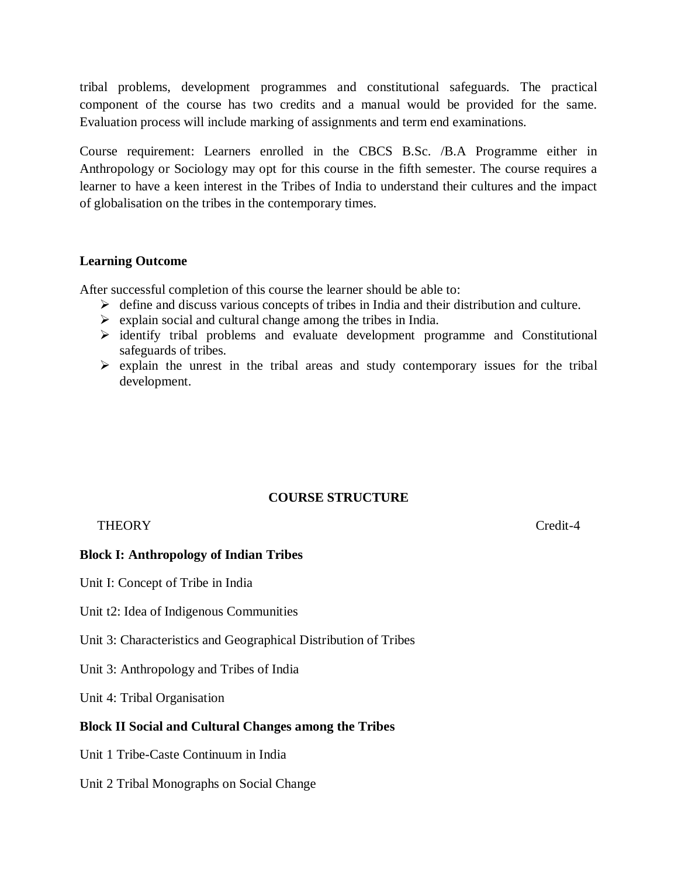tribal problems, development programmes and constitutional safeguards. The practical component of the course has two credits and a manual would be provided for the same. Evaluation process will include marking of assignments and term end examinations.

Course requirement: Learners enrolled in the CBCS B.Sc. /B.A Programme either in Anthropology or Sociology may opt for this course in the fifth semester. The course requires a learner to have a keen interest in the Tribes of India to understand their cultures and the impact of globalisation on the tribes in the contemporary times.

## **Learning Outcome**

After successful completion of this course the learner should be able to:

- $\triangleright$  define and discuss various concepts of tribes in India and their distribution and culture.
- $\triangleright$  explain social and cultural change among the tribes in India.
- $\triangleright$  identify tribal problems and evaluate development programme and Constitutional safeguards of tribes.
- $\triangleright$  explain the unrest in the tribal areas and study contemporary issues for the tribal development.

# **COURSE STRUCTURE**

## THEORY Credit-4

## **Block I: Anthropology of Indian Tribes**

Unit I: Concept of Tribe in India

Unit t2: Idea of Indigenous Communities

Unit 3: Characteristics and Geographical Distribution of Tribes

Unit 3: Anthropology and Tribes of India

Unit 4: Tribal Organisation

## **Block II Social and Cultural Changes among the Tribes**

Unit 1 Tribe-Caste Continuum in India

Unit 2 Tribal Monographs on Social Change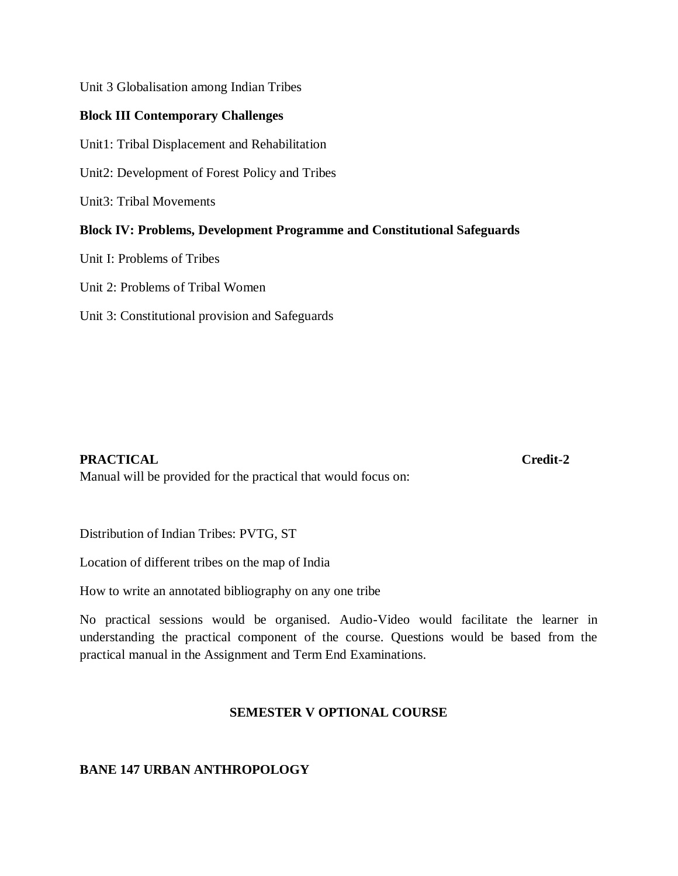Unit 3 Globalisation among Indian Tribes

# **Block III Contemporary Challenges**

Unit1: Tribal Displacement and Rehabilitation

Unit2: Development of Forest Policy and Tribes

Unit3: Tribal Movements

## **Block IV: Problems, Development Programme and Constitutional Safeguards**

Unit I: Problems of Tribes

Unit 2: Problems of Tribal Women

Unit 3: Constitutional provision and Safeguards

## **PRACTICAL Credit-2**

Manual will be provided for the practical that would focus on:

Distribution of Indian Tribes: PVTG, ST

Location of different tribes on the map of India

How to write an annotated bibliography on any one tribe

No practical sessions would be organised. Audio-Video would facilitate the learner in understanding the practical component of the course. Questions would be based from the practical manual in the Assignment and Term End Examinations.

## **SEMESTER V OPTIONAL COURSE**

# **BANE 147 URBAN ANTHROPOLOGY**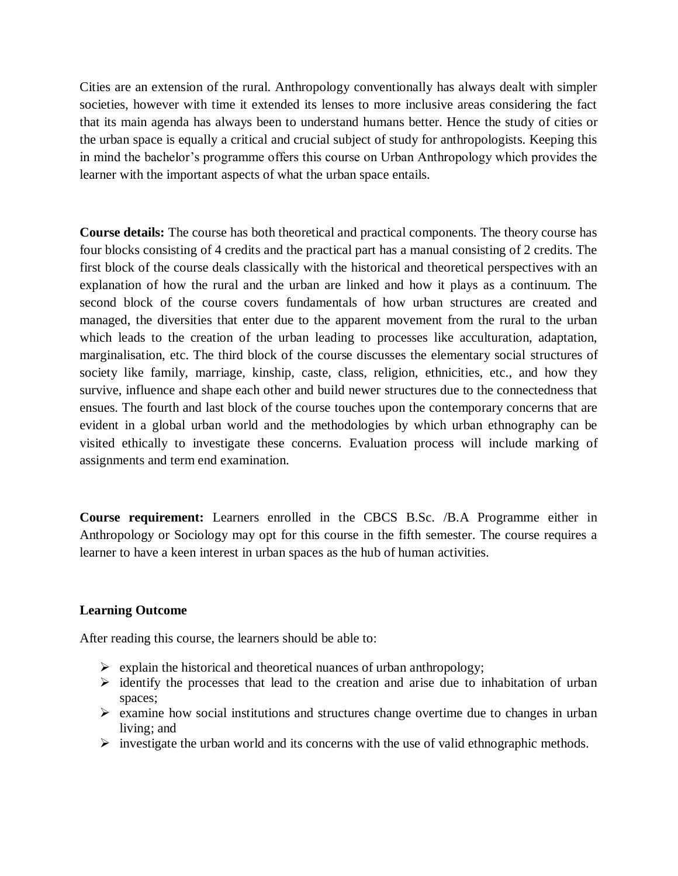Cities are an extension of the rural. Anthropology conventionally has always dealt with simpler societies, however with time it extended its lenses to more inclusive areas considering the fact that its main agenda has always been to understand humans better. Hence the study of cities or the urban space is equally a critical and crucial subject of study for anthropologists. Keeping this in mind the bachelor's programme offers this course on Urban Anthropology which provides the learner with the important aspects of what the urban space entails.

**Course details:** The course has both theoretical and practical components. The theory course has four blocks consisting of 4 credits and the practical part has a manual consisting of 2 credits. The first block of the course deals classically with the historical and theoretical perspectives with an explanation of how the rural and the urban are linked and how it plays as a continuum. The second block of the course covers fundamentals of how urban structures are created and managed, the diversities that enter due to the apparent movement from the rural to the urban which leads to the creation of the urban leading to processes like acculturation, adaptation, marginalisation, etc. The third block of the course discusses the elementary social structures of society like family, marriage, kinship, caste, class, religion, ethnicities, etc., and how they survive, influence and shape each other and build newer structures due to the connectedness that ensues. The fourth and last block of the course touches upon the contemporary concerns that are evident in a global urban world and the methodologies by which urban ethnography can be visited ethically to investigate these concerns. Evaluation process will include marking of assignments and term end examination.

**Course requirement:** Learners enrolled in the CBCS B.Sc. /B.A Programme either in Anthropology or Sociology may opt for this course in the fifth semester. The course requires a learner to have a keen interest in urban spaces as the hub of human activities.

## **Learning Outcome**

After reading this course, the learners should be able to:

- $\triangleright$  explain the historical and theoretical nuances of urban anthropology;
- $\triangleright$  identify the processes that lead to the creation and arise due to inhabitation of urban spaces;
- $\triangleright$  examine how social institutions and structures change overtime due to changes in urban living; and
- $\triangleright$  investigate the urban world and its concerns with the use of valid ethnographic methods.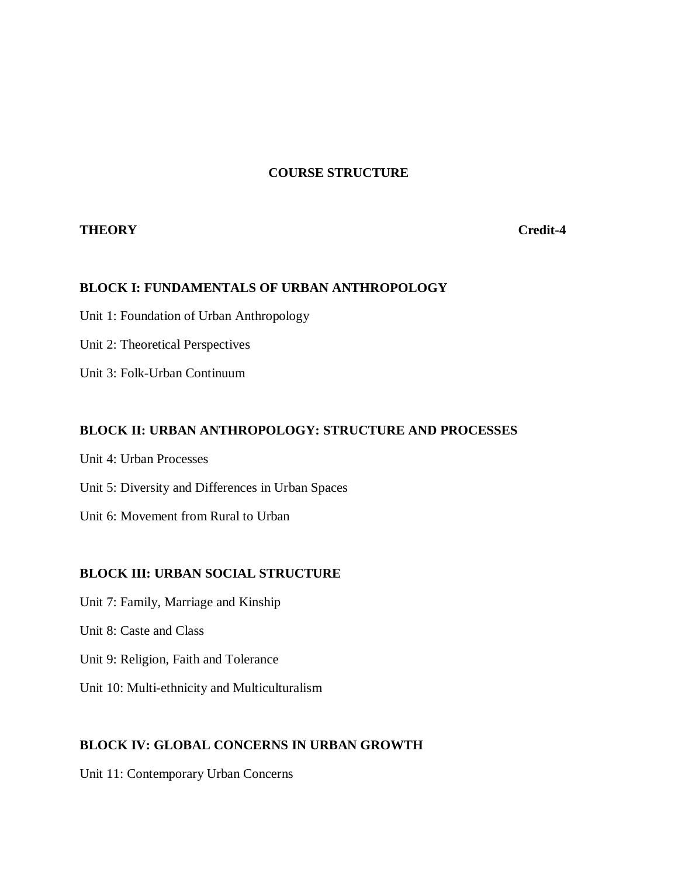# **COURSE STRUCTURE**

## **THEORY Credit-4**

## **BLOCK I: FUNDAMENTALS OF URBAN ANTHROPOLOGY**

Unit 1: Foundation of Urban Anthropology

Unit 2: Theoretical Perspectives

Unit 3: Folk-Urban Continuum

## **BLOCK II: URBAN ANTHROPOLOGY: STRUCTURE AND PROCESSES**

Unit 4: Urban Processes

Unit 5: Diversity and Differences in Urban Spaces

Unit 6: Movement from Rural to Urban

## **BLOCK III: URBAN SOCIAL STRUCTURE**

- Unit 7: Family, Marriage and Kinship
- Unit 8: Caste and Class
- Unit 9: Religion, Faith and Tolerance
- Unit 10: Multi-ethnicity and Multiculturalism

## **BLOCK IV: GLOBAL CONCERNS IN URBAN GROWTH**

Unit 11: Contemporary Urban Concerns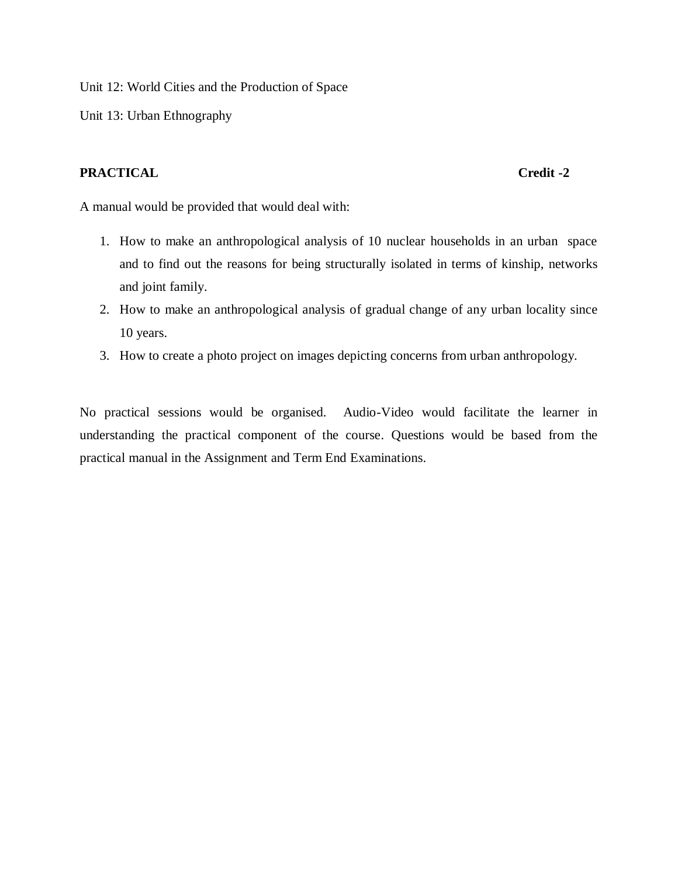Unit 12: World Cities and the Production of Space

Unit 13: Urban Ethnography

# **PRACTICAL** Credit -2

A manual would be provided that would deal with:

- 1. How to make an anthropological analysis of 10 nuclear households in an urban space and to find out the reasons for being structurally isolated in terms of kinship, networks and joint family.
- 2. How to make an anthropological analysis of gradual change of any urban locality since 10 years.
- 3. How to create a photo project on images depicting concerns from urban anthropology.

No practical sessions would be organised. Audio-Video would facilitate the learner in understanding the practical component of the course. Questions would be based from the practical manual in the Assignment and Term End Examinations.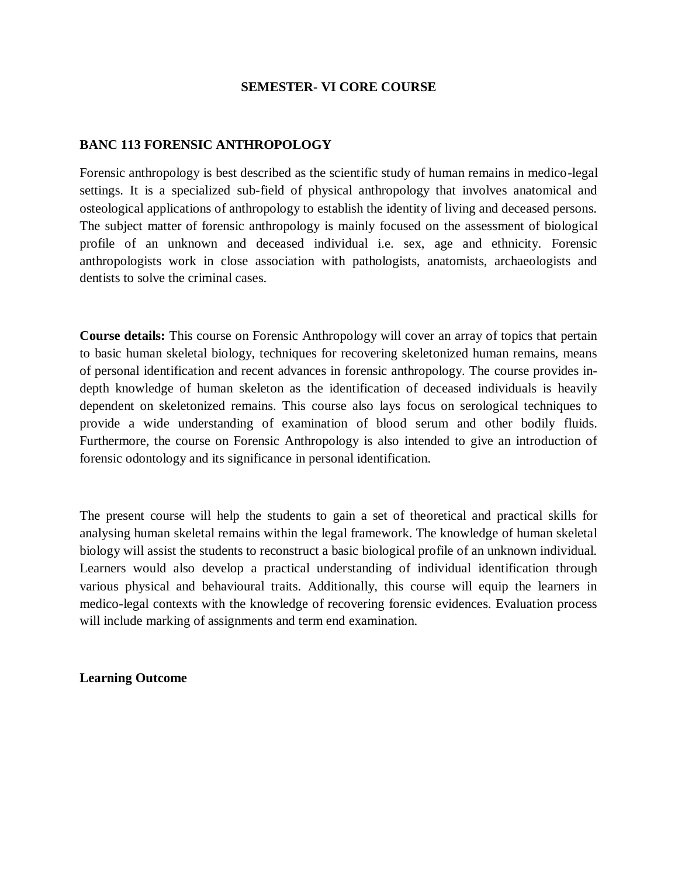## **SEMESTER- VI CORE COURSE**

## **BANC 113 FORENSIC ANTHROPOLOGY**

Forensic anthropology is best described as the scientific study of human remains in medico-legal settings. It is a specialized sub-field of physical anthropology that involves anatomical and osteological applications of anthropology to establish the identity of living and deceased persons. The subject matter of forensic anthropology is mainly focused on the assessment of biological profile of an unknown and deceased individual i.e. sex, age and ethnicity. Forensic anthropologists work in close association with pathologists, anatomists, archaeologists and dentists to solve the criminal cases.

**Course details:** This course on Forensic Anthropology will cover an array of topics that pertain to basic human skeletal biology, techniques for recovering skeletonized human remains, means of personal identification and recent advances in forensic anthropology. The course provides indepth knowledge of human skeleton as the identification of deceased individuals is heavily dependent on skeletonized remains. This course also lays focus on serological techniques to provide a wide understanding of examination of blood serum and other bodily fluids. Furthermore, the course on Forensic Anthropology is also intended to give an introduction of forensic odontology and its significance in personal identification.

The present course will help the students to gain a set of theoretical and practical skills for analysing human skeletal remains within the legal framework. The knowledge of human skeletal biology will assist the students to reconstruct a basic biological profile of an unknown individual. Learners would also develop a practical understanding of individual identification through various physical and behavioural traits. Additionally, this course will equip the learners in medico-legal contexts with the knowledge of recovering forensic evidences. Evaluation process will include marking of assignments and term end examination.

**Learning Outcome**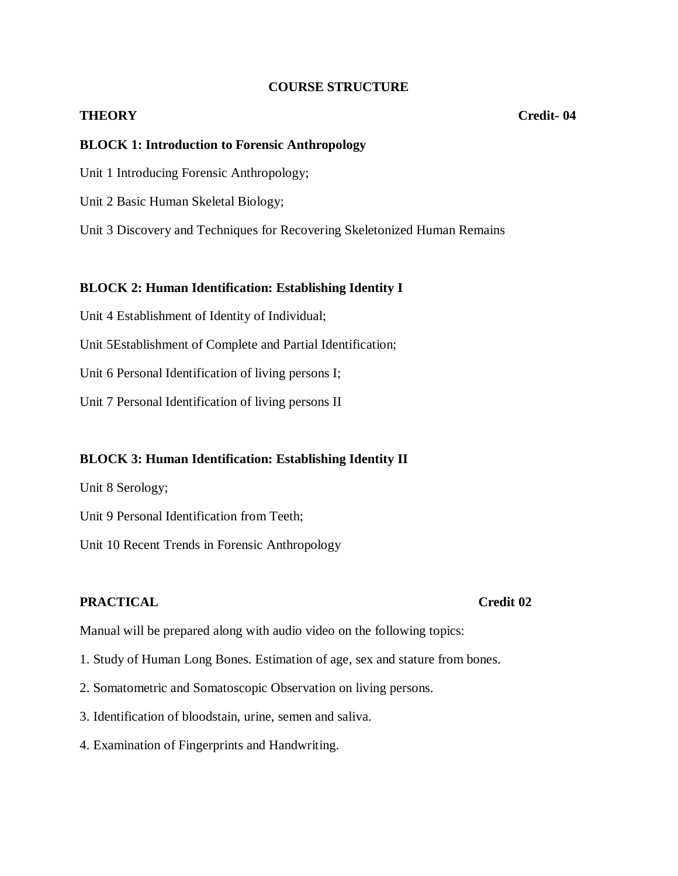## **COURSE STRUCTURE**

### **THEORY Credit- 04**

## **BLOCK 1: Introduction to Forensic Anthropology**

Unit 1 Introducing Forensic Anthropology;

Unit 2 Basic Human Skeletal Biology;

Unit 3 Discovery and Techniques for Recovering Skeletonized Human Remains

## **BLOCK 2: Human Identification: Establishing Identity I**

Unit 4 Establishment of Identity of Individual;

Unit 5Establishment of Complete and Partial Identification;

Unit 6 Personal Identification of living persons I;

Unit 7 Personal Identification of living persons II

## **BLOCK 3: Human Identification: Establishing Identity II**

Unit 8 Serology;

Unit 9 Personal Identification from Teeth;

Unit 10 Recent Trends in Forensic Anthropology

# **PRACTICAL Credit 02**

Manual will be prepared along with audio video on the following topics:

- 1. Study of Human Long Bones. Estimation of age, sex and stature from bones.
- 2. Somatometric and Somatoscopic Observation on living persons.
- 3. Identification of bloodstain, urine, semen and saliva.
- 4. Examination of Fingerprints and Handwriting.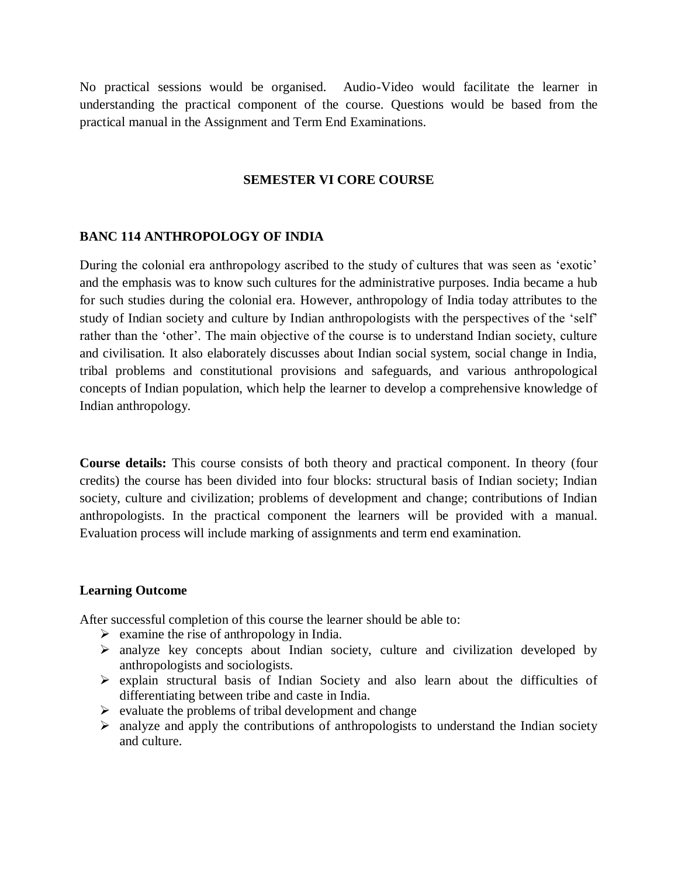No practical sessions would be organised. Audio-Video would facilitate the learner in understanding the practical component of the course. Questions would be based from the practical manual in the Assignment and Term End Examinations.

# **SEMESTER VI CORE COURSE**

# **BANC 114 ANTHROPOLOGY OF INDIA**

During the colonial era anthropology ascribed to the study of cultures that was seen as 'exotic' and the emphasis was to know such cultures for the administrative purposes. India became a hub for such studies during the colonial era. However, anthropology of India today attributes to the study of Indian society and culture by Indian anthropologists with the perspectives of the 'self' rather than the 'other'. The main objective of the course is to understand Indian society, culture and civilisation. It also elaborately discusses about Indian social system, social change in India, tribal problems and constitutional provisions and safeguards, and various anthropological concepts of Indian population, which help the learner to develop a comprehensive knowledge of Indian anthropology.

**Course details:** This course consists of both theory and practical component. In theory (four credits) the course has been divided into four blocks: structural basis of Indian society; Indian society, culture and civilization; problems of development and change; contributions of Indian anthropologists. In the practical component the learners will be provided with a manual. Evaluation process will include marking of assignments and term end examination.

## **Learning Outcome**

After successful completion of this course the learner should be able to:

- $\triangleright$  examine the rise of anthropology in India.
- $\triangleright$  analyze key concepts about Indian society, culture and civilization developed by anthropologists and sociologists.
- $\triangleright$  explain structural basis of Indian Society and also learn about the difficulties of differentiating between tribe and caste in India.
- $\triangleright$  evaluate the problems of tribal development and change
- $\triangleright$  analyze and apply the contributions of anthropologists to understand the Indian society and culture.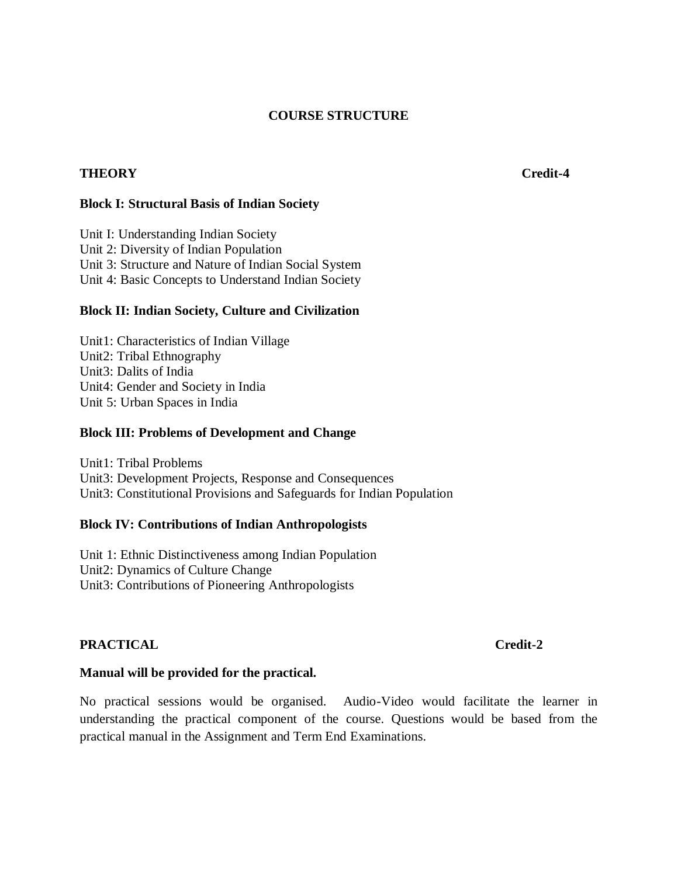## **COURSE STRUCTURE**

## **THEORY Credit-4**

## **Block I: Structural Basis of Indian Society**

Unit I: Understanding Indian Society Unit 2: Diversity of Indian Population Unit 3: Structure and Nature of Indian Social System Unit 4: Basic Concepts to Understand Indian Society

## **Block II: Indian Society, Culture and Civilization**

Unit1: Characteristics of Indian Village Unit2: Tribal Ethnography Unit3: Dalits of India Unit4: Gender and Society in India Unit 5: Urban Spaces in India

## **Block III: Problems of Development and Change**

Unit1: Tribal Problems Unit3: Development Projects, Response and Consequences Unit3: Constitutional Provisions and Safeguards for Indian Population

## **Block IV: Contributions of Indian Anthropologists**

Unit 1: Ethnic Distinctiveness among Indian Population Unit2: Dynamics of Culture Change Unit3: Contributions of Pioneering Anthropologists

## **PRACTICAL** Credit-2

## **Manual will be provided for the practical.**

No practical sessions would be organised. Audio-Video would facilitate the learner in understanding the practical component of the course. Questions would be based from the practical manual in the Assignment and Term End Examinations.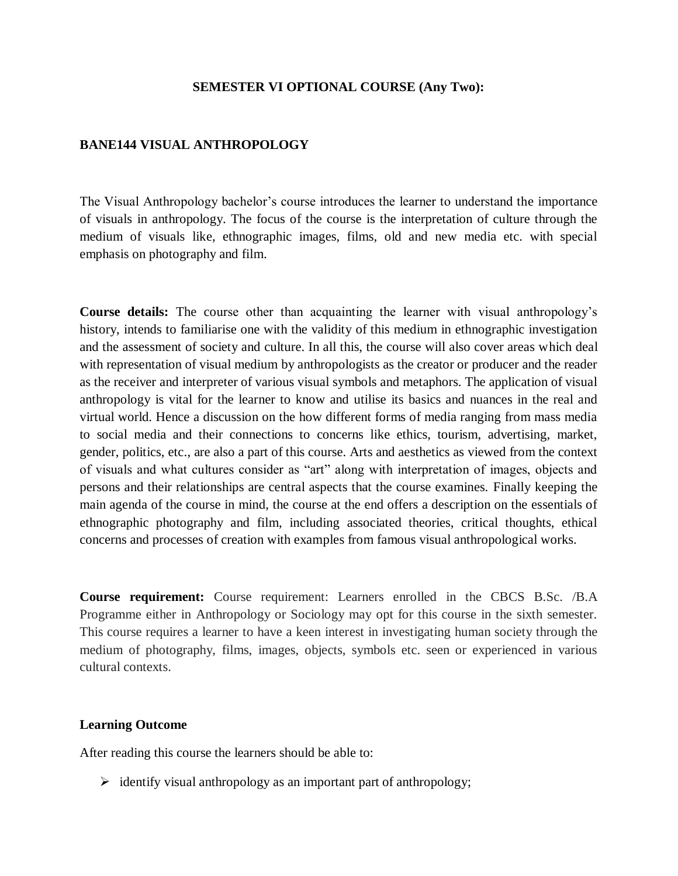### **SEMESTER VI OPTIONAL COURSE (Any Two):**

### **BANE144 VISUAL ANTHROPOLOGY**

The Visual Anthropology bachelor's course introduces the learner to understand the importance of visuals in anthropology. The focus of the course is the interpretation of culture through the medium of visuals like, ethnographic images, films, old and new media etc. with special emphasis on photography and film.

**Course details:** The course other than acquainting the learner with visual anthropology's history, intends to familiarise one with the validity of this medium in ethnographic investigation and the assessment of society and culture. In all this, the course will also cover areas which deal with representation of visual medium by anthropologists as the creator or producer and the reader as the receiver and interpreter of various visual symbols and metaphors. The application of visual anthropology is vital for the learner to know and utilise its basics and nuances in the real and virtual world. Hence a discussion on the how different forms of media ranging from mass media to social media and their connections to concerns like ethics, tourism, advertising, market, gender, politics, etc., are also a part of this course. Arts and aesthetics as viewed from the context of visuals and what cultures consider as "art" along with interpretation of images, objects and persons and their relationships are central aspects that the course examines. Finally keeping the main agenda of the course in mind, the course at the end offers a description on the essentials of ethnographic photography and film, including associated theories, critical thoughts, ethical concerns and processes of creation with examples from famous visual anthropological works.

**Course requirement:** Course requirement: Learners enrolled in the CBCS B.Sc. /B.A Programme either in Anthropology or Sociology may opt for this course in the sixth semester. This course requires a learner to have a keen interest in investigating human society through the medium of photography, films, images, objects, symbols etc. seen or experienced in various cultural contexts.

### **Learning Outcome**

After reading this course the learners should be able to:

 $\triangleright$  identify visual anthropology as an important part of anthropology;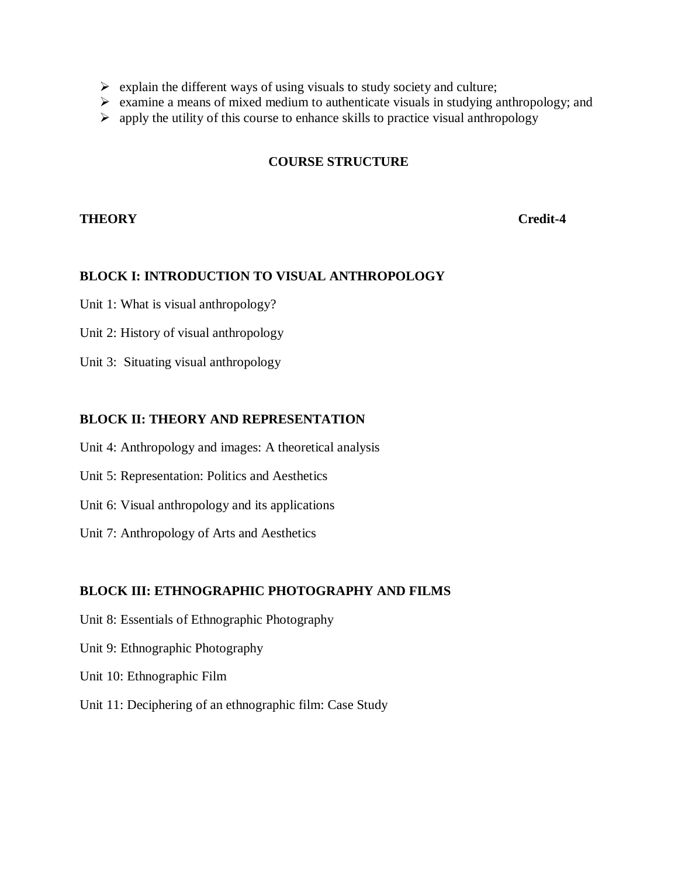- $\triangleright$  explain the different ways of using visuals to study society and culture;
- $\triangleright$  examine a means of mixed medium to authenticate visuals in studying anthropology; and
- $\triangleright$  apply the utility of this course to enhance skills to practice visual anthropology

# **COURSE STRUCTURE**

# **THEORY Credit-4**

# **BLOCK I: INTRODUCTION TO VISUAL ANTHROPOLOGY**

Unit 1: What is visual anthropology?

Unit 2: History of visual anthropology

Unit 3: Situating visual anthropology

# **BLOCK II: THEORY AND REPRESENTATION**

Unit 4: Anthropology and images: A theoretical analysis

- Unit 5: Representation: Politics and Aesthetics
- Unit 6: Visual anthropology and its applications
- Unit 7: Anthropology of Arts and Aesthetics

## **BLOCK III: ETHNOGRAPHIC PHOTOGRAPHY AND FILMS**

- Unit 8: Essentials of Ethnographic Photography
- Unit 9: Ethnographic Photography
- Unit 10: Ethnographic Film
- Unit 11: Deciphering of an ethnographic film: Case Study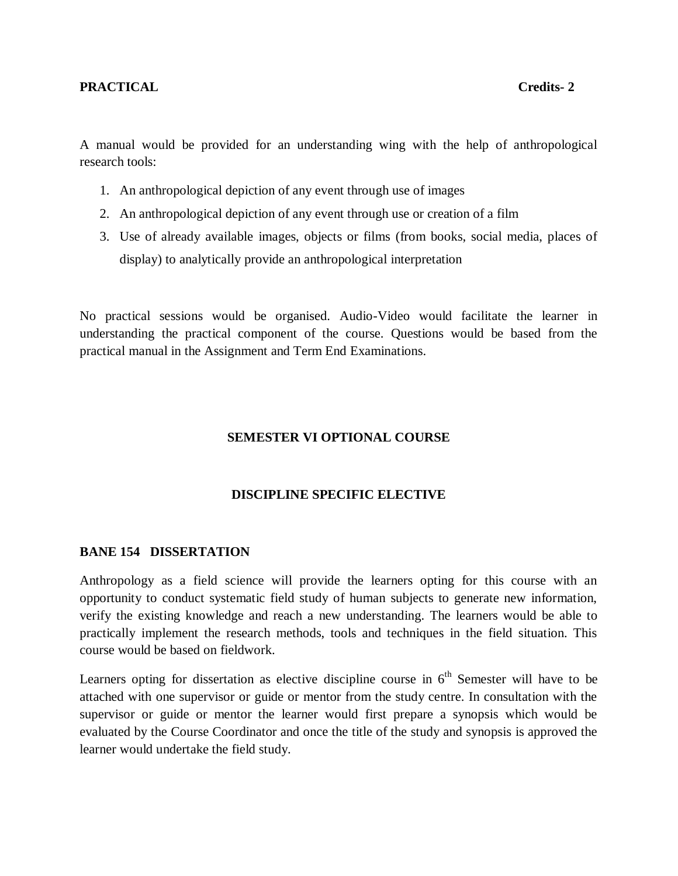A manual would be provided for an understanding wing with the help of anthropological research tools:

- 1. An anthropological depiction of any event through use of images
- 2. An anthropological depiction of any event through use or creation of a film
- 3. Use of already available images, objects or films (from books, social media, places of display) to analytically provide an anthropological interpretation

No practical sessions would be organised. Audio-Video would facilitate the learner in understanding the practical component of the course. Questions would be based from the practical manual in the Assignment and Term End Examinations.

## **SEMESTER VI OPTIONAL COURSE**

## **DISCIPLINE SPECIFIC ELECTIVE**

## **BANE 154 DISSERTATION**

Anthropology as a field science will provide the learners opting for this course with an opportunity to conduct systematic field study of human subjects to generate new information, verify the existing knowledge and reach a new understanding. The learners would be able to practically implement the research methods, tools and techniques in the field situation. This course would be based on fieldwork.

Learners opting for dissertation as elective discipline course in  $6<sup>th</sup>$  Semester will have to be attached with one supervisor or guide or mentor from the study centre. In consultation with the supervisor or guide or mentor the learner would first prepare a synopsis which would be evaluated by the Course Coordinator and once the title of the study and synopsis is approved the learner would undertake the field study.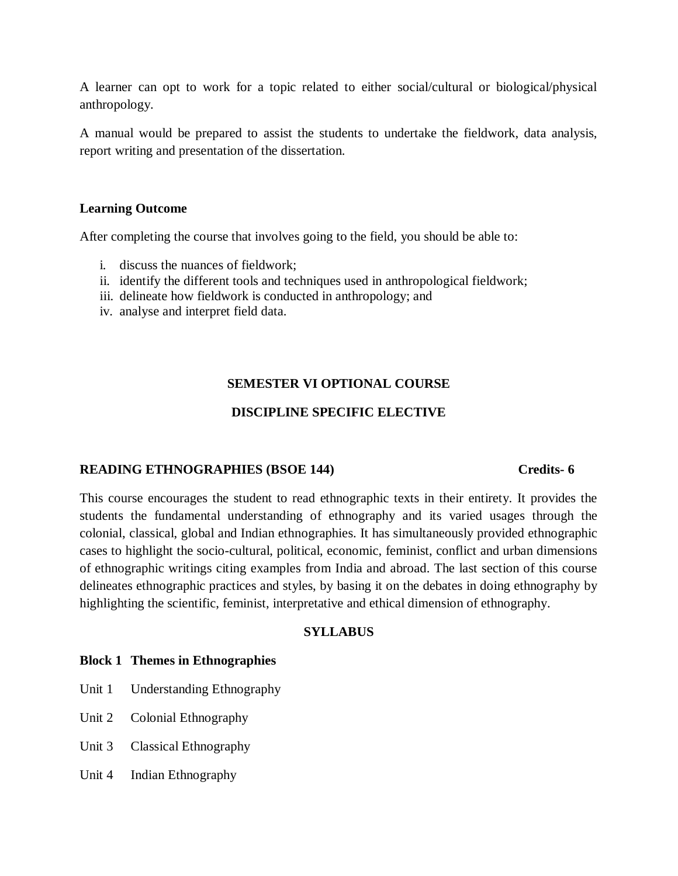A learner can opt to work for a topic related to either social/cultural or biological/physical anthropology.

A manual would be prepared to assist the students to undertake the fieldwork, data analysis, report writing and presentation of the dissertation.

## **Learning Outcome**

After completing the course that involves going to the field, you should be able to:

- i. discuss the nuances of fieldwork;
- ii. identify the different tools and techniques used in anthropological fieldwork;
- iii. delineate how fieldwork is conducted in anthropology; and
- iv. analyse and interpret field data.

# **SEMESTER VI OPTIONAL COURSE**

# **DISCIPLINE SPECIFIC ELECTIVE**

## **READING ETHNOGRAPHIES (BSOE 144) Credits- 6**

This course encourages the student to read ethnographic texts in their entirety. It provides the students the fundamental understanding of ethnography and its varied usages through the colonial, classical, global and Indian ethnographies. It has simultaneously provided ethnographic cases to highlight the socio-cultural, political, economic, feminist, conflict and urban dimensions of ethnographic writings citing examples from India and abroad. The last section of this course delineates ethnographic practices and styles, by basing it on the debates in doing ethnography by highlighting the scientific, feminist, interpretative and ethical dimension of ethnography.

## **SYLLABUS**

## **Block 1 Themes in Ethnographies**

- Unit 1 Understanding Ethnography
- Unit 2 Colonial Ethnography
- Unit 3 Classical Ethnography
- Unit 4 Indian Ethnography